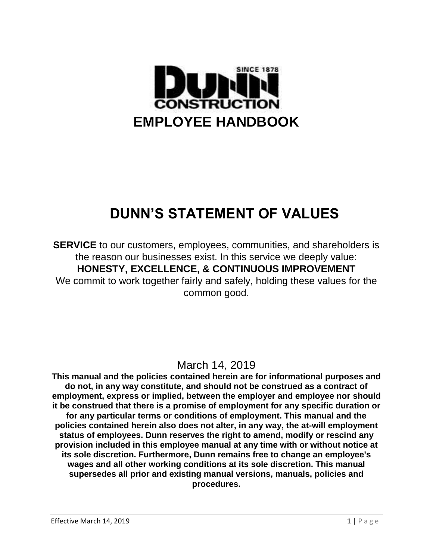

# **DUNN'S STATEMENT OF VALUES**

**SERVICE** to our customers, employees, communities, and shareholders is the reason our businesses exist. In this service we deeply value: **HONESTY, EXCELLENCE, & CONTINUOUS IMPROVEMENT** We commit to work together fairly and safely, holding these values for the common good.

## March 14, 2019

**This manual and the policies contained herein are for informational purposes and do not, in any way constitute, and should not be construed as a contract of employment, express or implied, between the employer and employee nor should it be construed that there is a promise of employment for any specific duration or for any particular terms or conditions of employment. This manual and the policies contained herein also does not alter, in any way, the at-will employment status of employees. Dunn reserves the right to amend, modify or rescind any provision included in this employee manual at any time with or without notice at its sole discretion. Furthermore, Dunn remains free to change an employee's wages and all other working conditions at its sole discretion. This manual supersedes all prior and existing manual versions, manuals, policies and procedures.**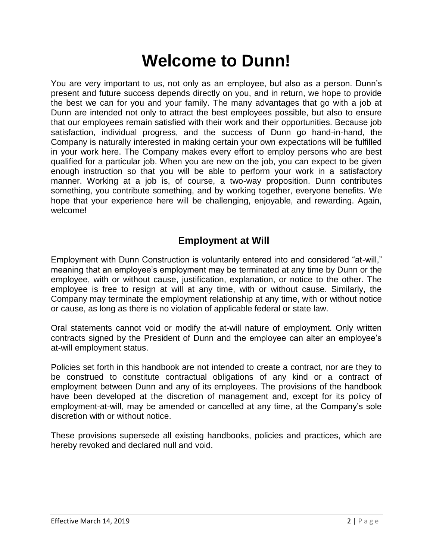# **Welcome to Dunn!**

You are very important to us, not only as an employee, but also as a person. Dunn's present and future success depends directly on you, and in return, we hope to provide the best we can for you and your family. The many advantages that go with a job at Dunn are intended not only to attract the best employees possible, but also to ensure that our employees remain satisfied with their work and their opportunities. Because job satisfaction, individual progress, and the success of Dunn go hand-in-hand, the Company is naturally interested in making certain your own expectations will be fulfilled in your work here. The Company makes every effort to employ persons who are best qualified for a particular job. When you are new on the job, you can expect to be given enough instruction so that you will be able to perform your work in a satisfactory manner. Working at a job is, of course, a two-way proposition. Dunn contributes something, you contribute something, and by working together, everyone benefits. We hope that your experience here will be challenging, enjoyable, and rewarding. Again, welcome!

## **Employment at Will**

Employment with Dunn Construction is voluntarily entered into and considered "at-will," meaning that an employee's employment may be terminated at any time by Dunn or the employee, with or without cause, justification, explanation, or notice to the other. The employee is free to resign at will at any time, with or without cause. Similarly, the Company may terminate the employment relationship at any time, with or without notice or cause, as long as there is no violation of applicable federal or state law.

Oral statements cannot void or modify the at-will nature of employment. Only written contracts signed by the President of Dunn and the employee can alter an employee's at-will employment status.

Policies set forth in this handbook are not intended to create a contract, nor are they to be construed to constitute contractual obligations of any kind or a contract of employment between Dunn and any of its employees. The provisions of the handbook have been developed at the discretion of management and, except for its policy of employment-at-will, may be amended or cancelled at any time, at the Company's sole discretion with or without notice.

These provisions supersede all existing handbooks, policies and practices, which are hereby revoked and declared null and void.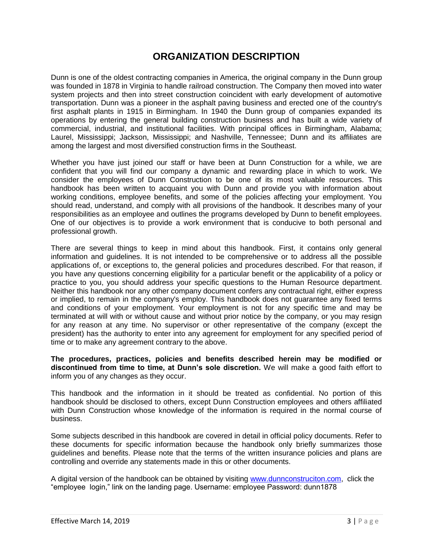## **ORGANIZATION DESCRIPTION**

<span id="page-2-0"></span>Dunn is one of the oldest contracting companies in America, the original company in the Dunn group was founded in 1878 in Virginia to handle railroad construction. The Company then moved into water system projects and then into street construction coincident with early development of automotive transportation. Dunn was a pioneer in the asphalt paving business and erected one of the country's first asphalt plants in 1915 in Birmingham. In 1940 the Dunn group of companies expanded its operations by entering the general building construction business and has built a wide variety of commercial, industrial, and institutional facilities. With principal offices in Birmingham, Alabama; Laurel, Mississippi; Jackson, Mississippi; and Nashville, Tennessee; Dunn and its affiliates are among the largest and most diversified construction firms in the Southeast.

Whether you have just joined our staff or have been at Dunn Construction for a while, we are confident that you will find our company a dynamic and rewarding place in which to work. We consider the employees of Dunn Construction to be one of its most valuable resources. This handbook has been written to acquaint you with Dunn and provide you with information about working conditions, employee benefits, and some of the policies affecting your employment. You should read, understand, and comply with all provisions of the handbook. It describes many of your responsibilities as an employee and outlines the programs developed by Dunn to benefit employees. One of our objectives is to provide a work environment that is conducive to both personal and professional growth.

There are several things to keep in mind about this handbook. First, it contains only general information and guidelines. It is not intended to be comprehensive or to address all the possible applications of, or exceptions to, the general policies and procedures described. For that reason, if you have any questions concerning eligibility for a particular benefit or the applicability of a policy or practice to you, you should address your specific questions to the Human Resource department. Neither this handbook nor any other company document confers any contractual right, either express or implied, to remain in the company's employ. This handbook does not guarantee any fixed terms and conditions of your employment. Your employment is not for any specific time and may be terminated at will with or without cause and without prior notice by the company, or you may resign for any reason at any time. No supervisor or other representative of the company (except the president) has the authority to enter into any agreement for employment for any specified period of time or to make any agreement contrary to the above.

**The procedures, practices, policies and benefits described herein may be modified or discontinued from time to time, at Dunn's sole discretion.** We will make a good faith effort to inform you of any changes as they occur.

This handbook and the information in it should be treated as confidential. No portion of this handbook should be disclosed to others, except Dunn Construction employees and others affiliated with Dunn Construction whose knowledge of the information is required in the normal course of business.

Some subjects described in this handbook are covered in detail in official policy documents. Refer to these documents for specific information because the handbook only briefly summarizes those guidelines and benefits. Please note that the terms of the written insurance policies and plans are controlling and override any statements made in this or other documents.

A digital version of the handbook can be obtained by visiting [www.dunnconstruciton.com,](http://www.dunnconstruciton.com/) click the "employee login," link on the landing page. Username: employee Password: dunn1878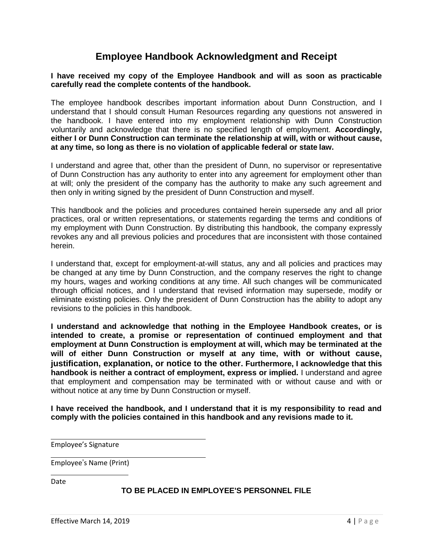### **Employee Handbook Acknowledgment and Receipt**

### **I have received my copy of the Employee Handbook and will as soon as practicable carefully read the complete contents of the handbook.**

The employee handbook describes important information about Dunn Construction, and I understand that I should consult Human Resources regarding any questions not answered in the handbook. I have entered into my employment relationship with Dunn Construction voluntarily and acknowledge that there is no specified length of employment. **Accordingly, either I or Dunn Construction can terminate the relationship at will, with or without cause, at any time, so long as there is no violation of applicable federal or state law.**

I understand and agree that, other than the president of Dunn, no supervisor or representative of Dunn Construction has any authority to enter into any agreement for employment other than at will; only the president of the company has the authority to make any such agreement and then only in writing signed by the president of Dunn Construction and myself.

This handbook and the policies and procedures contained herein supersede any and all prior practices, oral or written representations, or statements regarding the terms and conditions of my employment with Dunn Construction. By distributing this handbook, the company expressly revokes any and all previous policies and procedures that are inconsistent with those contained herein.

I understand that, except for employment-at-will status, any and all policies and practices may be changed at any time by Dunn Construction, and the company reserves the right to change my hours, wages and working conditions at any time. All such changes will be communicated through official notices, and I understand that revised information may supersede, modify or eliminate existing policies. Only the president of Dunn Construction has the ability to adopt any revisions to the policies in this handbook.

**I understand and acknowledge that nothing in the Employee Handbook creates, or is intended to create, a promise or representation of continued employment and that employment at Dunn Construction is employment at will, which may be terminated at the will of either Dunn Construction or myself at any time, with or without cause, justification, explanation, or notice to the other. Furthermore, I acknowledge that this handbook is neither a contract of employment, express or implied.** I understand and agree that employment and compensation may be terminated with or without cause and with or without notice at any time by Dunn Construction or myself.

**I have received the handbook, and I understand that it is my responsibility to read and comply with the policies contained in this handbook and any revisions made to it.**

Employee's Signature

Employee's Name (Print)

Date

### **TO BE PLACED IN EMPLOYEE'S PERSONNEL FILE**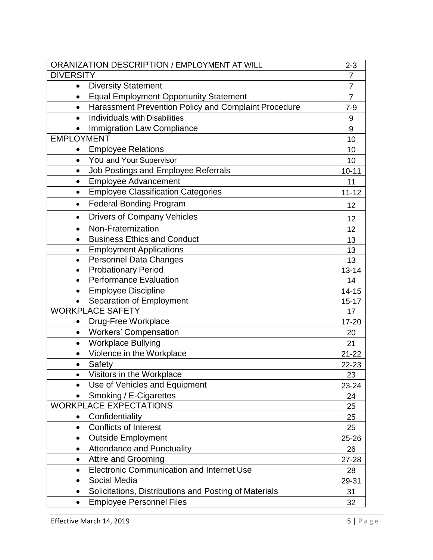| ORANIZATION DESCRIPTION / EMPLOYMENT AT WILL                      |                |  |
|-------------------------------------------------------------------|----------------|--|
| <b>DIVERSITY</b>                                                  | $\overline{7}$ |  |
| <b>Diversity Statement</b><br>$\bullet$                           | $\overline{7}$ |  |
| <b>Equal Employment Opportunity Statement</b><br>$\bullet$        | $\overline{7}$ |  |
| Harassment Prevention Policy and Complaint Procedure<br>$\bullet$ | $7-9$          |  |
| <b>Individuals with Disabilities</b><br>$\bullet$                 | 9              |  |
| Immigration Law Compliance<br>$\bullet$                           | 9              |  |
| <b>EMPLOYMENT</b>                                                 | 10             |  |
| <b>Employee Relations</b><br>$\bullet$                            | 10             |  |
| You and Your Supervisor<br>$\bullet$                              | 10             |  |
| Job Postings and Employee Referrals<br>$\bullet$                  | $10 - 11$      |  |
| <b>Employee Advancement</b><br>$\bullet$                          | 11             |  |
| <b>Employee Classification Categories</b><br>$\bullet$            | $11 - 12$      |  |
| <b>Federal Bonding Program</b><br>$\bullet$                       | 12             |  |
| <b>Drivers of Company Vehicles</b><br>$\bullet$                   | 12             |  |
| Non-Fraternization<br>$\bullet$                                   | 12             |  |
| <b>Business Ethics and Conduct</b><br>$\bullet$                   | 13             |  |
| <b>Employment Applications</b><br>$\bullet$                       | 13             |  |
| <b>Personnel Data Changes</b><br>$\bullet$                        | 13             |  |
| <b>Probationary Period</b><br>$\bullet$                           | $13 - 14$      |  |
| <b>Performance Evaluation</b><br>$\bullet$                        | 14             |  |
| <b>Employee Discipline</b><br>$\bullet$                           | $14 - 15$      |  |
| Separation of Employment                                          | $15 - 17$      |  |
| <b>WORKPLACE SAFETY</b>                                           | 17             |  |
| Drug-Free Workplace<br>$\bullet$                                  | 17-20          |  |
| <b>Workers' Compensation</b><br>$\bullet$                         | 20             |  |
| <b>Workplace Bullying</b><br>$\bullet$                            | 21             |  |
| Violence in the Workplace<br>$\bullet$                            | $21 - 22$      |  |
| Safety<br>$\bullet$                                               | 22-23          |  |
| Visitors in the Workplace                                         | 23             |  |
| Use of Vehicles and Equipment                                     | 23-24          |  |
| Smoking / E-Cigarettes<br>$\bullet$                               | 24             |  |
| <b>WORKPLACE EXPECTATIONS</b>                                     | 25             |  |
| Confidentiality<br>$\bullet$                                      | 25             |  |
| <b>Conflicts of Interest</b><br>$\bullet$                         | 25             |  |
| <b>Outside Employment</b><br>$\bullet$                            | 25-26          |  |
| <b>Attendance and Punctuality</b><br>$\bullet$                    | 26             |  |
| <b>Attire and Grooming</b><br>$\bullet$                           | 27-28          |  |
| <b>Electronic Communication and Internet Use</b><br>$\bullet$     | 28             |  |
| Social Media<br>$\bullet$                                         | 29-31          |  |
| Solicitations, Distributions and Posting of Materials             | 31             |  |
| <b>Employee Personnel Files</b><br>٠                              | 32             |  |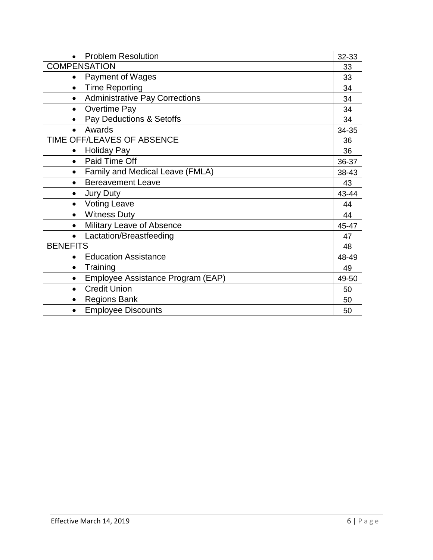| <b>Problem Resolution</b><br>$\bullet$             | 32-33 |
|----------------------------------------------------|-------|
| <b>COMPENSATION</b>                                | 33    |
| <b>Payment of Wages</b><br>$\bullet$               | 33    |
| <b>Time Reporting</b><br>$\bullet$                 | 34    |
| <b>Administrative Pay Corrections</b><br>$\bullet$ | 34    |
| <b>Overtime Pay</b><br>$\bullet$                   | 34    |
| Pay Deductions & Setoffs<br>$\bullet$              | 34    |
| Awards<br>$\bullet$                                | 34-35 |
| TIME OFF/LEAVES OF ABSENCE                         | 36    |
| <b>Holiday Pay</b><br>$\bullet$                    | 36    |
| Paid Time Off<br>$\bullet$                         | 36-37 |
| Family and Medical Leave (FMLA)<br>$\bullet$       | 38-43 |
| <b>Bereavement Leave</b><br>$\bullet$              | 43    |
| <b>Jury Duty</b><br>$\bullet$                      | 43-44 |
| <b>Voting Leave</b><br>$\bullet$                   | 44    |
| <b>Witness Duty</b><br>$\bullet$                   | 44    |
| Military Leave of Absence<br>$\bullet$             | 45-47 |
| Lactation/Breastfeeding<br>$\bullet$               | 47    |
| <b>BENEFITS</b>                                    | 48    |
| <b>Education Assistance</b>                        | 48-49 |
| Training<br>$\bullet$                              | 49    |
| Employee Assistance Program (EAP)<br>$\bullet$     | 49-50 |
| <b>Credit Union</b><br>$\bullet$                   | 50    |
| <b>Regions Bank</b>                                | 50    |
| <b>Employee Discounts</b>                          | 50    |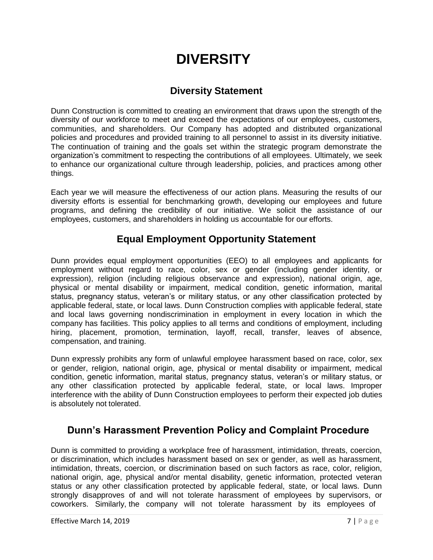# **DIVERSITY**

## **Diversity Statement**

<span id="page-6-1"></span><span id="page-6-0"></span>Dunn Construction is committed to creating an environment that draws upon the strength of the diversity of our workforce to meet and exceed the expectations of our employees, customers, communities, and shareholders. Our Company has adopted and distributed organizational policies and procedures and provided training to all personnel to assist in its diversity initiative. The continuation of training and the goals set within the strategic program demonstrate the organization's commitment to respecting the contributions of all employees. Ultimately, we seek to enhance our organizational culture through leadership, policies, and practices among other things.

Each year we will measure the effectiveness of our action plans. Measuring the results of our diversity efforts is essential for benchmarking growth, developing our employees and future programs, and defining the credibility of our initiative. We solicit the assistance of our employees, customers, and shareholders in holding us accountable for our efforts.

## **Equal Employment Opportunity Statement**

Dunn provides equal employment opportunities (EEO) to all employees and applicants for employment without regard to race, color, sex or gender (including gender identity, or expression), religion (including religious observance and expression), national origin, age, physical or mental disability or impairment, medical condition, genetic information, marital status, pregnancy status, veteran's or military status, or any other classification protected by applicable federal, state, or local laws. Dunn Construction complies with applicable federal, state and local laws governing nondiscrimination in employment in every location in which the company has facilities. This policy applies to all terms and conditions of employment, including hiring, placement, promotion, termination, layoff, recall, transfer, leaves of absence, compensation, and training.

Dunn expressly prohibits any form of unlawful employee harassment based on race, color, sex or gender, religion, national origin, age, physical or mental disability or impairment, medical condition, genetic information, marital status, pregnancy status, veteran's or military status, or any other classification protected by applicable federal, state, or local laws. Improper interference with the ability of Dunn Construction employees to perform their expected job duties is absolutely not tolerated.

## <span id="page-6-2"></span>**Dunn's Harassment Prevention Policy and Complaint Procedure**

Dunn is committed to providing a workplace free of harassment, intimidation, threats, coercion, or discrimination, which includes harassment based on sex or gender, as well as harassment, intimidation, threats, coercion, or discrimination based on such factors as race, color, religion, national origin, age, physical and/or mental disability, genetic information, protected veteran status or any other classification protected by applicable federal, state, or local laws. Dunn strongly disapproves of and will not tolerate harassment of employees by supervisors, or coworkers. Similarly, the company will not tolerate harassment by its employees of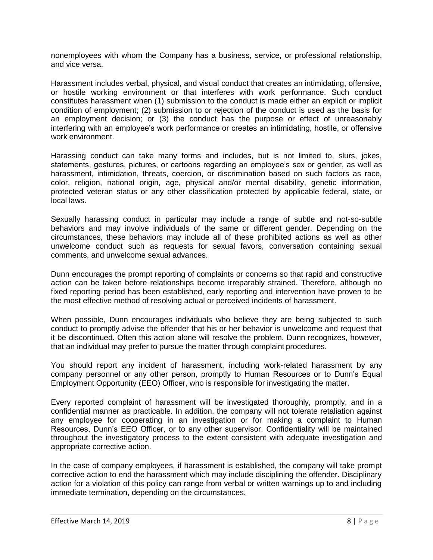nonemployees with whom the Company has a business, service, or professional relationship, and vice versa.

Harassment includes verbal, physical, and visual conduct that creates an intimidating, offensive, or hostile working environment or that interferes with work performance. Such conduct constitutes harassment when (1) submission to the conduct is made either an explicit or implicit condition of employment; (2) submission to or rejection of the conduct is used as the basis for an employment decision; or (3) the conduct has the purpose or effect of unreasonably interfering with an employee's work performance or creates an intimidating, hostile, or offensive work environment.

Harassing conduct can take many forms and includes, but is not limited to, slurs, jokes, statements, gestures, pictures, or cartoons regarding an employee's sex or gender, as well as harassment, intimidation, threats, coercion, or discrimination based on such factors as race, color, religion, national origin, age, physical and/or mental disability, genetic information, protected veteran status or any other classification protected by applicable federal, state, or local laws.

Sexually harassing conduct in particular may include a range of subtle and not-so-subtle behaviors and may involve individuals of the same or different gender. Depending on the circumstances, these behaviors may include all of these prohibited actions as well as other unwelcome conduct such as requests for sexual favors, conversation containing sexual comments, and unwelcome sexual advances.

Dunn encourages the prompt reporting of complaints or concerns so that rapid and constructive action can be taken before relationships become irreparably strained. Therefore, although no fixed reporting period has been established, early reporting and intervention have proven to be the most effective method of resolving actual or perceived incidents of harassment.

When possible, Dunn encourages individuals who believe they are being subjected to such conduct to promptly advise the offender that his or her behavior is unwelcome and request that it be discontinued. Often this action alone will resolve the problem. Dunn recognizes, however, that an individual may prefer to pursue the matter through complaint procedures.

You should report any incident of harassment, including work-related harassment by any company personnel or any other person, promptly to Human Resources or to Dunn's Equal Employment Opportunity (EEO) Officer, who is responsible for investigating the matter.

Every reported complaint of harassment will be investigated thoroughly, promptly, and in a confidential manner as practicable. In addition, the company will not tolerate retaliation against any employee for cooperating in an investigation or for making a complaint to Human Resources, Dunn's EEO Officer, or to any other supervisor. Confidentiality will be maintained throughout the investigatory process to the extent consistent with adequate investigation and appropriate corrective action.

In the case of company employees, if harassment is established, the company will take prompt corrective action to end the harassment which may include disciplining the offender. Disciplinary action for a violation of this policy can range from verbal or written warnings up to and including immediate termination, depending on the circumstances.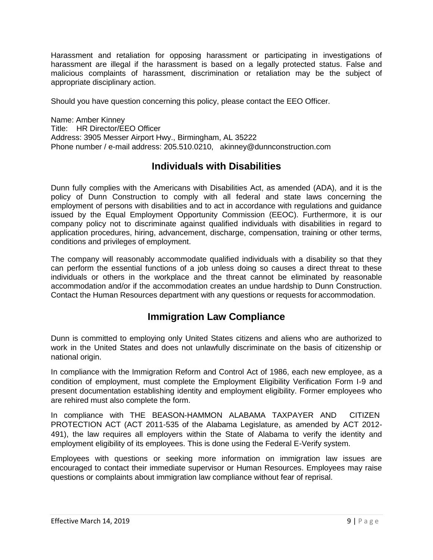Harassment and retaliation for opposing harassment or participating in investigations of harassment are illegal if the harassment is based on a legally protected status. False and malicious complaints of harassment, discrimination or retaliation may be the subject of appropriate disciplinary action.

Should you have question concerning this policy, please contact the EEO Officer.

Name: Amber Kinney Title: HR Director/EEO Officer Address: 3905 Messer Airport Hwy., Birmingham, AL 35222 Phone number / e-mail address: 205.510.0210, [akinney@dunnconstruction.com](mailto:akinney@dunnconstruction.com)

### **Individuals with Disabilities**

Dunn fully complies with the Americans with Disabilities Act, as amended (ADA), and it is the policy of Dunn Construction to comply with all federal and state laws concerning the employment of persons with disabilities and to act in accordance with regulations and guidance issued by the Equal Employment Opportunity Commission (EEOC). Furthermore, it is our company policy not to discriminate against qualified individuals with disabilities in regard to application procedures, hiring, advancement, discharge, compensation, training or other terms, conditions and privileges of employment.

The company will reasonably accommodate qualified individuals with a disability so that they can perform the essential functions of a job unless doing so causes a direct threat to these individuals or others in the workplace and the threat cannot be eliminated by reasonable accommodation and/or if the accommodation creates an undue hardship to Dunn Construction. Contact the Human Resources department with any questions or requests for accommodation.

### **Immigration Law Compliance**

<span id="page-8-0"></span>Dunn is committed to employing only United States citizens and aliens who are authorized to work in the United States and does not unlawfully discriminate on the basis of citizenship or national origin.

In compliance with the Immigration Reform and Control Act of 1986, each new employee, as a condition of employment, must complete the Employment Eligibility Verification Form I-9 and present documentation establishing identity and employment eligibility. Former employees who are rehired must also complete the form.

In compliance with THE BEASON-HAMMON ALABAMA TAXPAYER AND CITIZEN PROTECTION ACT (ACT 2011-535 of the Alabama Legislature, as amended by ACT 2012- 491), the law requires all employers within the State of Alabama to verify the identity and employment eligibility of its employees. This is done using the Federal E-Verify system.

Employees with questions or seeking more information on immigration law issues are encouraged to contact their immediate supervisor or Human Resources. Employees may raise questions or complaints about immigration law compliance without fear of reprisal.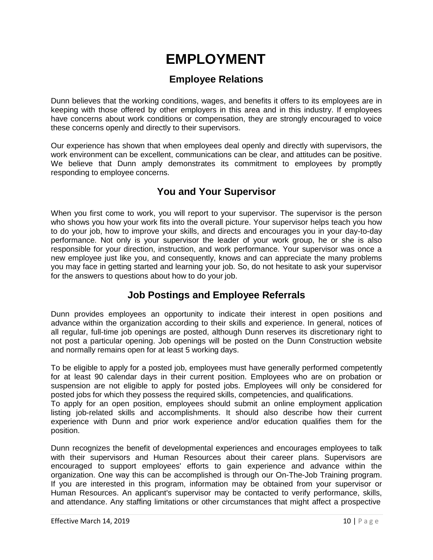# **EMPLOYMENT**

## **Employee Relations**

<span id="page-9-0"></span>Dunn believes that the working conditions, wages, and benefits it offers to its employees are in keeping with those offered by other employers in this area and in this industry. If employees have concerns about work conditions or compensation, they are strongly encouraged to voice these concerns openly and directly to their supervisors.

Our experience has shown that when employees deal openly and directly with supervisors, the work environment can be excellent, communications can be clear, and attitudes can be positive. We believe that Dunn amply demonstrates its commitment to employees by promptly responding to employee concerns.

## **You and Your Supervisor**

When you first come to work, you will report to your supervisor. The supervisor is the person who shows you how your work fits into the overall picture. Your supervisor helps teach you how to do your job, how to improve your skills, and directs and encourages you in your day-to-day performance. Not only is your supervisor the leader of your work group, he or she is also responsible for your direction, instruction, and work performance. Your supervisor was once a new employee just like you, and consequently, knows and can appreciate the many problems you may face in getting started and learning your job. So, do not hesitate to ask your supervisor for the answers to questions about how to do your job.

## **Job Postings and Employee Referrals**

Dunn provides employees an opportunity to indicate their interest in open positions and advance within the organization according to their skills and experience. In general, notices of all regular, full-time job openings are posted, although Dunn reserves its discretionary right to not post a particular opening. Job openings will be posted on the Dunn Construction website and normally remains open for at least 5 working days.

To be eligible to apply for a posted job, employees must have generally performed competently for at least 90 calendar days in their current position. Employees who are on probation or suspension are not eligible to apply for posted jobs. Employees will only be considered for posted jobs for which they possess the required skills, competencies, and qualifications.

To apply for an open position, employees should submit an online employment application listing job-related skills and accomplishments. It should also describe how their current experience with Dunn and prior work experience and/or education qualifies them for the position.

Dunn recognizes the benefit of developmental experiences and encourages employees to talk with their supervisors and Human Resources about their career plans. Supervisors are encouraged to support employees' efforts to gain experience and advance within the organization. One way this can be accomplished is through our On-The-Job Training program. If you are interested in this program, information may be obtained from your supervisor or Human Resources. An applicant's supervisor may be contacted to verify performance, skills, and attendance. Any staffing limitations or other circumstances that might affect a prospective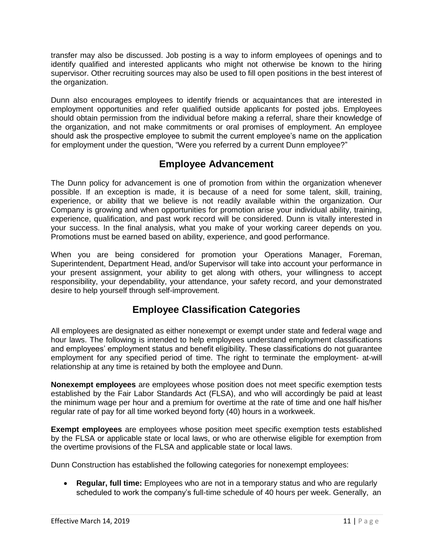transfer may also be discussed. Job posting is a way to inform employees of openings and to identify qualified and interested applicants who might not otherwise be known to the hiring supervisor. Other recruiting sources may also be used to fill open positions in the best interest of the organization.

Dunn also encourages employees to identify friends or acquaintances that are interested in employment opportunities and refer qualified outside applicants for posted jobs. Employees should obtain permission from the individual before making a referral, share their knowledge of the organization, and not make commitments or oral promises of employment. An employee should ask the prospective employee to submit the current employee's name on the application for employment under the question, "Were you referred by a current Dunn employee?"

## **Employee Advancement**

The Dunn policy for advancement is one of promotion from within the organization whenever possible. If an exception is made, it is because of a need for some talent, skill, training, experience, or ability that we believe is not readily available within the organization. Our Company is growing and when opportunities for promotion arise your individual ability, training, experience, qualification, and past work record will be considered. Dunn is vitally interested in your success. In the final analysis, what you make of your working career depends on you. Promotions must be earned based on ability, experience, and good performance.

When you are being considered for promotion your Operations Manager, Foreman, Superintendent, Department Head, and/or Supervisor will take into account your performance in your present assignment, your ability to get along with others, your willingness to accept responsibility, your dependability, your attendance, your safety record, and your demonstrated desire to help yourself through self-improvement.

## **Employee Classification Categories**

All employees are designated as either nonexempt or exempt under state and federal wage and hour laws. The following is intended to help employees understand employment classifications and employees' employment status and benefit eligibility. These classifications do not guarantee employment for any specified period of time. The right to terminate the employment- at-will relationship at any time is retained by both the employee and Dunn.

**Nonexempt employees** are employees whose position does not meet specific exemption tests established by the Fair Labor Standards Act (FLSA), and who will accordingly be paid at least the minimum wage per hour and a premium for overtime at the rate of time and one half his/her regular rate of pay for all time worked beyond forty (40) hours in a workweek.

**Exempt employees** are employees whose position meet specific exemption tests established by the FLSA or applicable state or local laws, or who are otherwise eligible for exemption from the overtime provisions of the FLSA and applicable state or local laws.

Dunn Construction has established the following categories for nonexempt employees:

• **Regular, full time:** Employees who are not in a temporary status and who are regularly scheduled to work the company's full-time schedule of 40 hours per week. Generally, an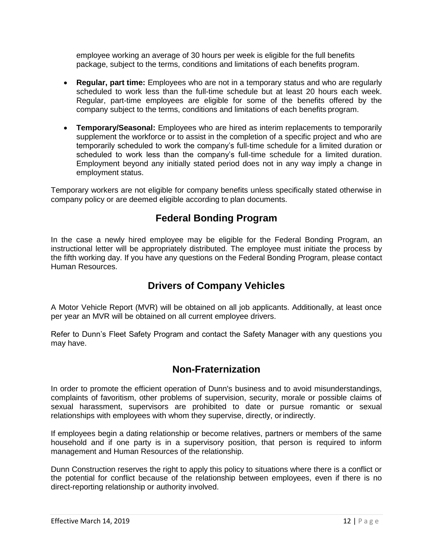employee working an average of 30 hours per week is eligible for the full benefits package, subject to the terms, conditions and limitations of each benefits program.

- **Regular, part time:** Employees who are not in a temporary status and who are regularly scheduled to work less than the full-time schedule but at least 20 hours each week. Regular, part-time employees are eligible for some of the benefits offered by the company subject to the terms, conditions and limitations of each benefits program.
- **Temporary/Seasonal:** Employees who are hired as interim replacements to temporarily supplement the workforce or to assist in the completion of a specific project and who are temporarily scheduled to work the company's full-time schedule for a limited duration or scheduled to work less than the company's full-time schedule for a limited duration. Employment beyond any initially stated period does not in any way imply a change in employment status.

Temporary workers are not eligible for company benefits unless specifically stated otherwise in company policy or are deemed eligible according to plan documents.

## **Federal Bonding Program**

In the case a newly hired employee may be eligible for the Federal Bonding Program, an instructional letter will be appropriately distributed. The employee must initiate the process by the fifth working day. If you have any questions on the Federal Bonding Program, please contact Human Resources.

## **Drivers of Company Vehicles**

A Motor Vehicle Report (MVR) will be obtained on all job applicants. Additionally, at least once per year an MVR will be obtained on all current employee drivers.

Refer to Dunn's Fleet Safety Program and contact the Safety Manager with any questions you may have.

### **Non-Fraternization**

In order to promote the efficient operation of Dunn's business and to avoid misunderstandings, complaints of favoritism, other problems of supervision, security, morale or possible claims of sexual harassment, supervisors are prohibited to date or pursue romantic or sexual relationships with employees with whom they supervise, directly, or indirectly.

If employees begin a dating relationship or become relatives, partners or members of the same household and if one party is in a supervisory position, that person is required to inform management and Human Resources of the relationship.

Dunn Construction reserves the right to apply this policy to situations where there is a conflict or the potential for conflict because of the relationship between employees, even if there is no direct-reporting relationship or authority involved.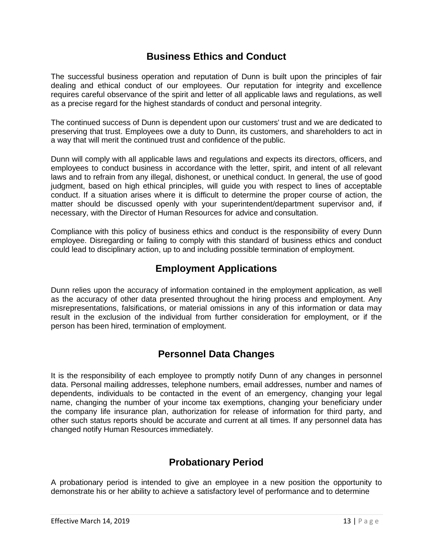### **Business Ethics and Conduct**

<span id="page-12-0"></span>The successful business operation and reputation of Dunn is built upon the principles of fair dealing and ethical conduct of our employees. Our reputation for integrity and excellence requires careful observance of the spirit and letter of all applicable laws and regulations, as well as a precise regard for the highest standards of conduct and personal integrity.

The continued success of Dunn is dependent upon our customers' trust and we are dedicated to preserving that trust. Employees owe a duty to Dunn, its customers, and shareholders to act in a way that will merit the continued trust and confidence of the public.

Dunn will comply with all applicable laws and regulations and expects its directors, officers, and employees to conduct business in accordance with the letter, spirit, and intent of all relevant laws and to refrain from any illegal, dishonest, or unethical conduct. In general, the use of good judgment, based on high ethical principles, will guide you with respect to lines of acceptable conduct. If a situation arises where it is difficult to determine the proper course of action, the matter should be discussed openly with your superintendent/department supervisor and, if necessary, with the Director of Human Resources for advice and consultation.

Compliance with this policy of business ethics and conduct is the responsibility of every Dunn employee. Disregarding or failing to comply with this standard of business ethics and conduct could lead to disciplinary action, up to and including possible termination of employment.

## **Employment Applications**

Dunn relies upon the accuracy of information contained in the employment application, as well as the accuracy of other data presented throughout the hiring process and employment. Any misrepresentations, falsifications, or material omissions in any of this information or data may result in the exclusion of the individual from further consideration for employment, or if the person has been hired, termination of employment.

## **Personnel Data Changes**

It is the responsibility of each employee to promptly notify Dunn of any changes in personnel data. Personal mailing addresses, telephone numbers, email addresses, number and names of dependents, individuals to be contacted in the event of an emergency, changing your legal name, changing the number of your income tax exemptions, changing your beneficiary under the company life insurance plan, authorization for release of information for third party, and other such status reports should be accurate and current at all times. If any personnel data has changed notify Human Resources immediately.

## **Probationary Period**

A probationary period is intended to give an employee in a new position the opportunity to demonstrate his or her ability to achieve a satisfactory level of performance and to determine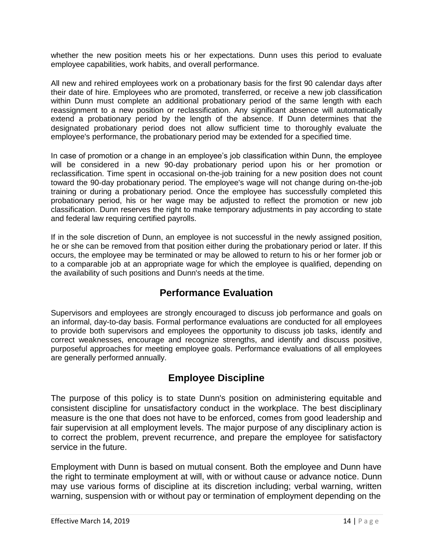whether the new position meets his or her expectations. Dunn uses this period to evaluate employee capabilities, work habits, and overall performance.

All new and rehired employees work on a probationary basis for the first 90 calendar days after their date of hire. Employees who are promoted, transferred, or receive a new job classification within Dunn must complete an additional probationary period of the same length with each reassignment to a new position or reclassification. Any significant absence will automatically extend a probationary period by the length of the absence. If Dunn determines that the designated probationary period does not allow sufficient time to thoroughly evaluate the employee's performance, the probationary period may be extended for a specified time.

In case of promotion or a change in an employee's job classification within Dunn, the employee will be considered in a new 90-day probationary period upon his or her promotion or reclassification. Time spent in occasional on-the-job training for a new position does not count toward the 90-day probationary period. The employee's wage will not change during on-the-job training or during a probationary period. Once the employee has successfully completed this probationary period, his or her wage may be adjusted to reflect the promotion or new job classification. Dunn reserves the right to make temporary adjustments in pay according to state and federal law requiring certified payrolls.

If in the sole discretion of Dunn, an employee is not successful in the newly assigned position, he or she can be removed from that position either during the probationary period or later. If this occurs, the employee may be terminated or may be allowed to return to his or her former job or to a comparable job at an appropriate wage for which the employee is qualified, depending on the availability of such positions and Dunn's needs at the time.

## **Performance Evaluation**

Supervisors and employees are strongly encouraged to discuss job performance and goals on an informal, day-to-day basis. Formal performance evaluations are conducted for all employees to provide both supervisors and employees the opportunity to discuss job tasks, identify and correct weaknesses, encourage and recognize strengths, and identify and discuss positive, purposeful approaches for meeting employee goals. Performance evaluations of all employees are generally performed annually.

## **Employee Discipline**

The purpose of this policy is to state Dunn's position on administering equitable and consistent discipline for unsatisfactory conduct in the workplace. The best disciplinary measure is the one that does not have to be enforced, comes from good leadership and fair supervision at all employment levels. The major purpose of any disciplinary action is to correct the problem, prevent recurrence, and prepare the employee for satisfactory service in the future.

Employment with Dunn is based on mutual consent. Both the employee and Dunn have the right to terminate employment at will, with or without cause or advance notice. Dunn may use various forms of discipline at its discretion including; verbal warning, written warning, suspension with or without pay or termination of employment depending on the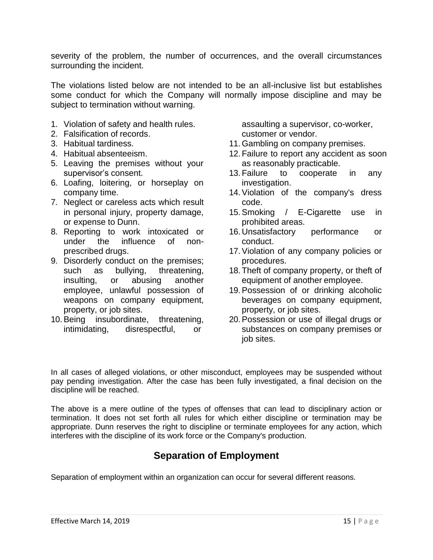severity of the problem, the number of occurrences, and the overall circumstances surrounding the incident.

The violations listed below are not intended to be an all-inclusive list but establishes some conduct for which the Company will normally impose discipline and may be subject to termination without warning.

- 1. Violation of safety and health rules.
- 2. Falsification of records.
- 3. Habitual tardiness.
- 4. Habitual absenteeism.
- 5. Leaving the premises without your supervisor's consent.
- 6. Loafing, loitering, or horseplay on company time.
- 7. Neglect or careless acts which result in personal injury, property damage, or expense to Dunn.
- 8. Reporting to work intoxicated or under the influence of nonprescribed drugs.
- 9. Disorderly conduct on the premises; such as bullying, threatening, insulting, or abusing another employee, unlawful possession of weapons on company equipment, property, or job sites.
- 10.Being insubordinate, threatening, intimidating, disrespectful, or

assaulting a supervisor, co-worker, customer or vendor.

- 11. Gambling on company premises.
- 12. Failure to report any accident as soon as reasonably practicable.
- 13. Failure to cooperate in any investigation.
- 14.Violation of the company's dress code.
- 15.Smoking / E-Cigarette use in prohibited areas.
- 16. Unsatisfactory performance or conduct.
- 17.Violation of any company policies or procedures.
- 18. Theft of company property, or theft of equipment of another employee.
- 19.Possession of or drinking alcoholic beverages on company equipment, property, or job sites.
- 20.Possession or use of illegal drugs or substances on company premises or job sites.

In all cases of alleged violations, or other misconduct, employees may be suspended without pay pending investigation. After the case has been fully investigated, a final decision on the discipline will be reached.

The above is a mere outline of the types of offenses that can lead to disciplinary action or termination. It does not set forth all rules for which either discipline or termination may be appropriate. Dunn reserves the right to discipline or terminate employees for any action, which interferes with the discipline of its work force or the Company's production.

## **Separation of Employment**

<span id="page-14-0"></span>Separation of employment within an organization can occur for several different reasons.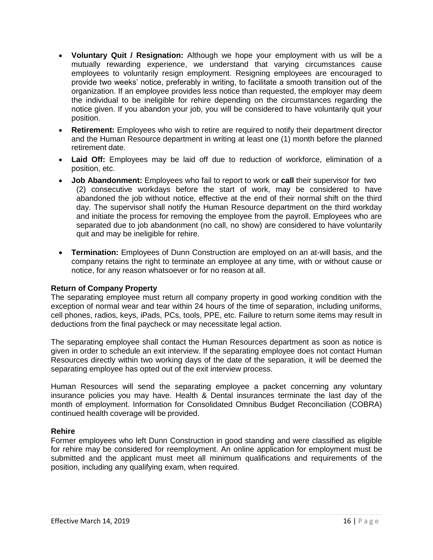- **Voluntary Quit / Resignation:** Although we hope your employment with us will be a mutually rewarding experience, we understand that varying circumstances cause employees to voluntarily resign employment. Resigning employees are encouraged to provide two weeks' notice, preferably in writing, to facilitate a smooth transition out of the organization. If an employee provides less notice than requested, the employer may deem the individual to be ineligible for rehire depending on the circumstances regarding the notice given. If you abandon your job, you will be considered to have voluntarily quit your position.
- **Retirement:** Employees who wish to retire are required to notify their department director and the Human Resource department in writing at least one (1) month before the planned retirement date.
- **Laid Off:** Employees may be laid off due to reduction of workforce, elimination of a position, etc.
- **Job Abandonment:** Employees who fail to report to work or **call** their supervisor for two (2) consecutive workdays before the start of work, may be considered to have abandoned the job without notice, effective at the end of their normal shift on the third day. The supervisor shall notify the Human Resource department on the third workday and initiate the process for removing the employee from the payroll. Employees who are separated due to job abandonment (no call, no show) are considered to have voluntarily quit and may be ineligible for rehire.
- **Termination:** Employees of Dunn Construction are employed on an at-will basis, and the company retains the right to terminate an employee at any time, with or without cause or notice, for any reason whatsoever or for no reason at all.

### **Return of Company Property**

The separating employee must return all company property in good working condition with the exception of normal wear and tear within 24 hours of the time of separation, including uniforms, cell phones, radios, keys, iPads, PCs, tools, PPE, etc. Failure to return some items may result in deductions from the final paycheck or may necessitate legal action.

The separating employee shall contact the Human Resources department as soon as notice is given in order to schedule an exit interview. If the separating employee does not contact Human Resources directly within two working days of the date of the separation, it will be deemed the separating employee has opted out of the exit interview process.

Human Resources will send the separating employee a packet concerning any voluntary insurance policies you may have. Health & Dental insurances terminate the last day of the month of employment. Information for Consolidated Omnibus Budget Reconciliation (COBRA) continued health coverage will be provided.

### **Rehire**

Former employees who left Dunn Construction in good standing and were classified as eligible for rehire may be considered for reemployment. An online application for employment must be submitted and the applicant must meet all minimum qualifications and requirements of the position, including any qualifying exam, when required.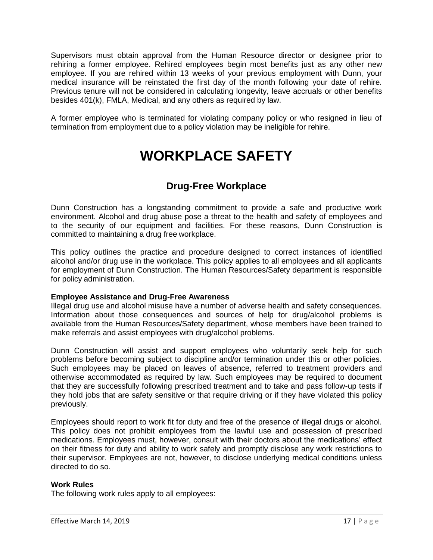Supervisors must obtain approval from the Human Resource director or designee prior to rehiring a former employee. Rehired employees begin most benefits just as any other new employee. If you are rehired within 13 weeks of your previous employment with Dunn, your medical insurance will be reinstated the first day of the month following your date of rehire. Previous tenure will not be considered in calculating longevity, leave accruals or other benefits besides 401(k), FMLA, Medical, and any others as required by law.

<span id="page-16-0"></span>A former employee who is terminated for violating company policy or who resigned in lieu of termination from employment due to a policy violation may be ineligible for rehire.

# **WORKPLACE SAFETY**

## **Drug-Free Workplace**

<span id="page-16-1"></span>Dunn Construction has a longstanding commitment to provide a safe and productive work environment. Alcohol and drug abuse pose a threat to the health and safety of employees and to the security of our equipment and facilities. For these reasons, Dunn Construction is committed to maintaining a drug free workplace.

This policy outlines the practice and procedure designed to correct instances of identified alcohol and/or drug use in the workplace. This policy applies to all employees and all applicants for employment of Dunn Construction. The Human Resources/Safety department is responsible for policy administration.

### **Employee Assistance and Drug-Free Awareness**

Illegal drug use and alcohol misuse have a number of adverse health and safety consequences. Information about those consequences and sources of help for drug/alcohol problems is available from the Human Resources/Safety department, whose members have been trained to make referrals and assist employees with drug/alcohol problems.

Dunn Construction will assist and support employees who voluntarily seek help for such problems before becoming subject to discipline and/or termination under this or other policies. Such employees may be placed on leaves of absence, referred to treatment providers and otherwise accommodated as required by law. Such employees may be required to document that they are successfully following prescribed treatment and to take and pass follow-up tests if they hold jobs that are safety sensitive or that require driving or if they have violated this policy previously.

Employees should report to work fit for duty and free of the presence of illegal drugs or alcohol. This policy does not prohibit employees from the lawful use and possession of prescribed medications. Employees must, however, consult with their doctors about the medications' effect on their fitness for duty and ability to work safely and promptly disclose any work restrictions to their supervisor. Employees are not, however, to disclose underlying medical conditions unless directed to do so.

### **Work Rules**

The following work rules apply to all employees: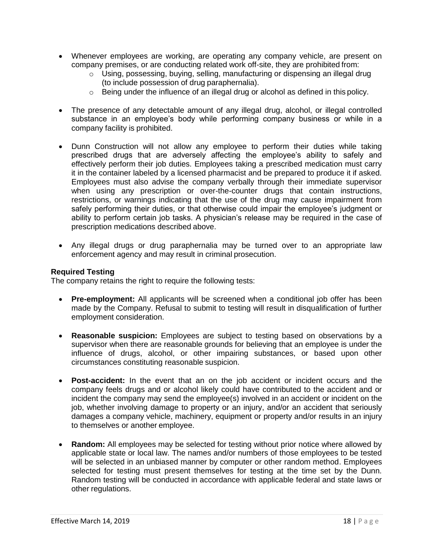- Whenever employees are working, are operating any company vehicle, are present on company premises, or are conducting related work off-site, they are prohibited from:
	- o Using, possessing, buying, selling, manufacturing or dispensing an illegal drug (to include possession of drug paraphernalia).
	- $\circ$  Being under the influence of an illegal drug or alcohol as defined in this policy.
- The presence of any detectable amount of any illegal drug, alcohol, or illegal controlled substance in an employee's body while performing company business or while in a company facility is prohibited.
- Dunn Construction will not allow any employee to perform their duties while taking prescribed drugs that are adversely affecting the employee's ability to safely and effectively perform their job duties. Employees taking a prescribed medication must carry it in the container labeled by a licensed pharmacist and be prepared to produce it if asked. Employees must also advise the company verbally through their immediate supervisor when using any prescription or over-the-counter drugs that contain instructions, restrictions, or warnings indicating that the use of the drug may cause impairment from safely performing their duties, or that otherwise could impair the employee's judgment or ability to perform certain job tasks. A physician's release may be required in the case of prescription medications described above.
- Any illegal drugs or drug paraphernalia may be turned over to an appropriate law enforcement agency and may result in criminal prosecution.

#### **Required Testing**

The company retains the right to require the following tests:

- **Pre-employment:** All applicants will be screened when a conditional job offer has been made by the Company. Refusal to submit to testing will result in disqualification of further employment consideration.
- **Reasonable suspicion:** Employees are subject to testing based on observations by a supervisor when there are reasonable grounds for believing that an employee is under the influence of drugs, alcohol, or other impairing substances, or based upon other circumstances constituting reasonable suspicion.
- **Post-accident:** In the event that an on the job accident or incident occurs and the company feels drugs and or alcohol likely could have contributed to the accident and or incident the company may send the employee(s) involved in an accident or incident on the job, whether involving damage to property or an injury, and/or an accident that seriously damages a company vehicle, machinery, equipment or property and/or results in an injury to themselves or another employee.
- **Random:** All employees may be selected for testing without prior notice where allowed by applicable state or local law. The names and/or numbers of those employees to be tested will be selected in an unbiased manner by computer or other random method. Employees selected for testing must present themselves for testing at the time set by the Dunn. Random testing will be conducted in accordance with applicable federal and state laws or other regulations.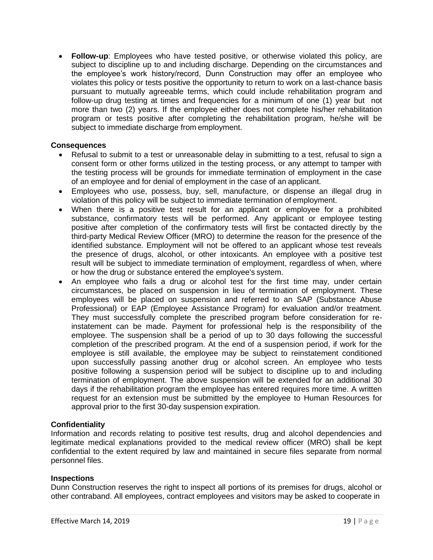• **Follow-up**: Employees who have tested positive, or otherwise violated this policy, are subject to discipline up to and including discharge. Depending on the circumstances and the employee's work history/record, Dunn Construction may offer an employee who violates this policy or tests positive the opportunity to return to work on a last-chance basis pursuant to mutually agreeable terms, which could include rehabilitation program and follow-up drug testing at times and frequencies for a minimum of one (1) year but not more than two (2) years. If the employee either does not complete his/her rehabilitation program or tests positive after completing the rehabilitation program, he/she will be subject to immediate discharge from employment.

#### **Consequences**

- Refusal to submit to a test or unreasonable delay in submitting to a test, refusal to sign a consent form or other forms utilized in the testing process, or any attempt to tamper with the testing process will be grounds for immediate termination of employment in the case of an employee and for denial of employment in the case of an applicant.
- Employees who use, possess, buy, sell, manufacture, or dispense an illegal drug in violation of this policy will be subject to immediate termination of employment.
- When there is a positive test result for an applicant or employee for a prohibited substance, confirmatory tests will be performed. Any applicant or employee testing positive after completion of the confirmatory tests will first be contacted directly by the third-party Medical Review Officer (MRO) to determine the reason for the presence of the identified substance. Employment will not be offered to an applicant whose test reveals the presence of drugs, alcohol, or other intoxicants. An employee with a positive test result will be subject to immediate termination of employment, regardless of when, where or how the drug or substance entered the employee's system.
- An employee who fails a drug or alcohol test for the first time may, under certain circumstances, be placed on suspension in lieu of termination of employment. These employees will be placed on suspension and referred to an SAP (Substance Abuse Professional) or EAP (Employee Assistance Program) for evaluation and/or treatment. They must successfully complete the prescribed program before consideration for reinstatement can be made. Payment for professional help is the responsibility of the employee. The suspension shall be a period of up to 30 days following the successful completion of the prescribed program. At the end of a suspension period, if work for the employee is still available, the employee may be subject to reinstatement conditioned upon successfully passing another drug or alcohol screen. An employee who tests positive following a suspension period will be subject to discipline up to and including termination of employment. The above suspension will be extended for an additional 30 days if the rehabilitation program the employee has entered requires more time. A written request for an extension must be submitted by the employee to Human Resources for approval prior to the first 30-day suspension expiration.

### **Confidentiality**

Information and records relating to positive test results, drug and alcohol dependencies and legitimate medical explanations provided to the medical review officer (MRO) shall be kept confidential to the extent required by law and maintained in secure files separate from normal personnel files.

#### **Inspections**

Dunn Construction reserves the right to inspect all portions of its premises for drugs, alcohol or other contraband. All employees, contract employees and visitors may be asked to cooperate in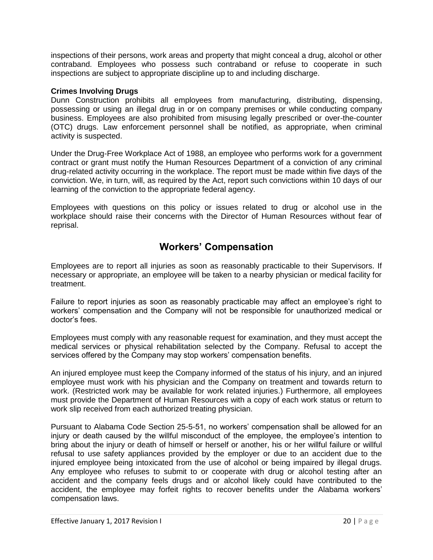inspections of their persons, work areas and property that might conceal a drug, alcohol or other contraband. Employees who possess such contraband or refuse to cooperate in such inspections are subject to appropriate discipline up to and including discharge.

### **Crimes Involving Drugs**

Dunn Construction prohibits all employees from manufacturing, distributing, dispensing, possessing or using an illegal drug in or on company premises or while conducting company business. Employees are also prohibited from misusing legally prescribed or over-the-counter (OTC) drugs. Law enforcement personnel shall be notified, as appropriate, when criminal activity is suspected.

Under the Drug-Free Workplace Act of 1988, an employee who performs work for a government contract or grant must notify the Human Resources Department of a conviction of any criminal drug-related activity occurring in the workplace. The report must be made within five days of the conviction. We, in turn, will, as required by the Act, report such convictions within 10 days of our learning of the conviction to the appropriate federal agency.

Employees with questions on this policy or issues related to drug or alcohol use in the workplace should raise their concerns with the Director of Human Resources without fear of reprisal.

## **Workers' Compensation**

<span id="page-19-0"></span>Employees are to report all injuries as soon as reasonably practicable to their Supervisors. If necessary or appropriate, an employee will be taken to a nearby physician or medical facility for treatment.

Failure to report injuries as soon as reasonably practicable may affect an employee's right to workers' compensation and the Company will not be responsible for unauthorized medical or doctor's fees.

Employees must comply with any reasonable request for examination, and they must accept the medical services or physical rehabilitation selected by the Company. Refusal to accept the services offered by the Company may stop workers' compensation benefits.

An injured employee must keep the Company informed of the status of his injury, and an injured employee must work with his physician and the Company on treatment and towards return to work. (Restricted work may be available for work related injuries.) Furthermore, all employees must provide the Department of Human Resources with a copy of each work status or return to work slip received from each authorized treating physician.

Pursuant to Alabama Code Section 25-5-51, no workers' compensation shall be allowed for an injury or death caused by the willful misconduct of the employee, the employee's intention to bring about the injury or death of himself or herself or another, his or her willful failure or willful refusal to use safety appliances provided by the employer or due to an accident due to the injured employee being intoxicated from the use of alcohol or being impaired by illegal drugs. Any employee who refuses to submit to or cooperate with drug or alcohol testing after an accident and the company feels drugs and or alcohol likely could have contributed to the accident, the employee may forfeit rights to recover benefits under the Alabama workers' compensation laws.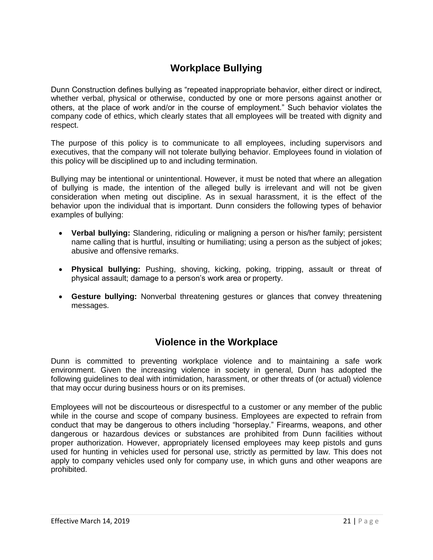## **Workplace Bullying**

Dunn Construction defines bullying as "repeated inappropriate behavior, either direct or indirect, whether verbal, physical or otherwise, conducted by one or more persons against another or others, at the place of work and/or in the course of employment." Such behavior violates the company code of ethics, which clearly states that all employees will be treated with dignity and respect.

The purpose of this policy is to communicate to all employees, including supervisors and executives, that the company will not tolerate bullying behavior. Employees found in violation of this policy will be disciplined up to and including termination.

Bullying may be intentional or unintentional. However, it must be noted that where an allegation of bullying is made, the intention of the alleged bully is irrelevant and will not be given consideration when meting out discipline. As in sexual harassment, it is the effect of the behavior upon the individual that is important. Dunn considers the following types of behavior examples of bullying:

- **Verbal bullying:** Slandering, ridiculing or maligning a person or his/her family; persistent name calling that is hurtful, insulting or humiliating; using a person as the subject of jokes; abusive and offensive remarks.
- **Physical bullying:** Pushing, shoving, kicking, poking, tripping, assault or threat of physical assault; damage to a person's work area or property.
- **Gesture bullying:** Nonverbal threatening gestures or glances that convey threatening messages.

## **Violence in the Workplace**

<span id="page-20-0"></span>Dunn is committed to preventing workplace violence and to maintaining a safe work environment. Given the increasing violence in society in general, Dunn has adopted the following guidelines to deal with intimidation, harassment, or other threats of (or actual) violence that may occur during business hours or on its premises.

Employees will not be discourteous or disrespectful to a customer or any member of the public while in the course and scope of company business. Employees are expected to refrain from conduct that may be dangerous to others including "horseplay." Firearms, weapons, and other dangerous or hazardous devices or substances are prohibited from Dunn facilities without proper authorization. However, appropriately licensed employees may keep pistols and guns used for hunting in vehicles used for personal use, strictly as permitted by law. This does not apply to company vehicles used only for company use, in which guns and other weapons are prohibited.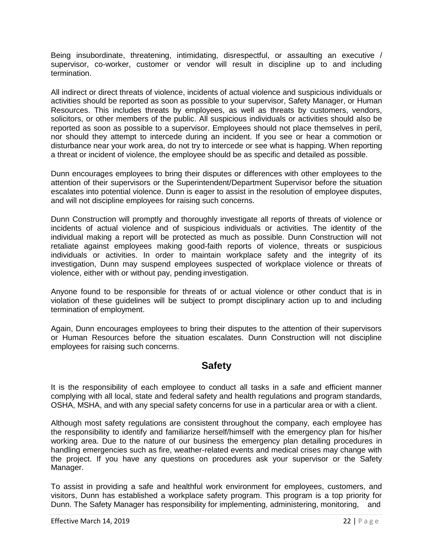Being insubordinate, threatening, intimidating, disrespectful, or assaulting an executive / supervisor, co-worker, customer or vendor will result in discipline up to and including termination.

All indirect or direct threats of violence, incidents of actual violence and suspicious individuals or activities should be reported as soon as possible to your supervisor, Safety Manager, or Human Resources. This includes threats by employees, as well as threats by customers, vendors, solicitors, or other members of the public. All suspicious individuals or activities should also be reported as soon as possible to a supervisor. Employees should not place themselves in peril, nor should they attempt to intercede during an incident. If you see or hear a commotion or disturbance near your work area, do not try to intercede or see what is happing. When reporting a threat or incident of violence, the employee should be as specific and detailed as possible.

Dunn encourages employees to bring their disputes or differences with other employees to the attention of their supervisors or the Superintendent/Department Supervisor before the situation escalates into potential violence. Dunn is eager to assist in the resolution of employee disputes, and will not discipline employees for raising such concerns.

Dunn Construction will promptly and thoroughly investigate all reports of threats of violence or incidents of actual violence and of suspicious individuals or activities. The identity of the individual making a report will be protected as much as possible. Dunn Construction will not retaliate against employees making good-faith reports of violence, threats or suspicious individuals or activities. In order to maintain workplace safety and the integrity of its investigation, Dunn may suspend employees suspected of workplace violence or threats of violence, either with or without pay, pending investigation.

Anyone found to be responsible for threats of or actual violence or other conduct that is in violation of these guidelines will be subject to prompt disciplinary action up to and including termination of employment.

Again, Dunn encourages employees to bring their disputes to the attention of their supervisors or Human Resources before the situation escalates. Dunn Construction will not discipline employees for raising such concerns.

### <span id="page-21-0"></span>**Safety**

It is the responsibility of each employee to conduct all tasks in a safe and efficient manner complying with all local, state and federal safety and health regulations and program standards, OSHA, MSHA, and with any special safety concerns for use in a particular area or with a client.

Although most safety regulations are consistent throughout the company, each employee has the responsibility to identify and familiarize herself/himself with the emergency plan for his/her working area. Due to the nature of our business the emergency plan detailing procedures in handling emergencies such as fire, weather-related events and medical crises may change with the project. If you have any questions on procedures ask your supervisor or the Safety Manager.

To assist in providing a safe and healthful work environment for employees, customers, and visitors, Dunn has established a workplace safety program. This program is a top priority for Dunn. The Safety Manager has responsibility for implementing, administering, monitoring, and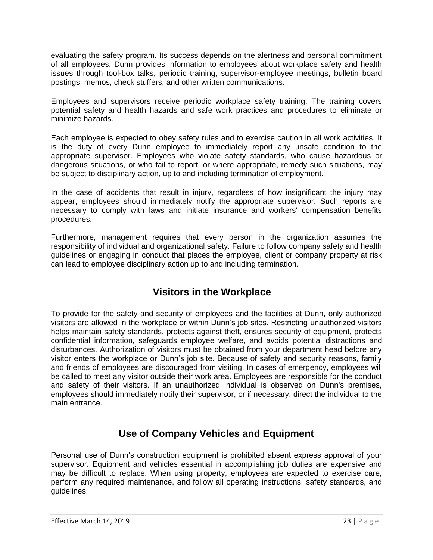evaluating the safety program. Its success depends on the alertness and personal commitment of all employees. Dunn provides information to employees about workplace safety and health issues through tool-box talks, periodic training, supervisor-employee meetings, bulletin board postings, memos, check stuffers, and other written communications.

Employees and supervisors receive periodic workplace safety training. The training covers potential safety and health hazards and safe work practices and procedures to eliminate or minimize hazards.

Each employee is expected to obey safety rules and to exercise caution in all work activities. It is the duty of every Dunn employee to immediately report any unsafe condition to the appropriate supervisor. Employees who violate safety standards, who cause hazardous or dangerous situations, or who fail to report, or where appropriate, remedy such situations, may be subject to disciplinary action, up to and including termination of employment.

In the case of accidents that result in injury, regardless of how insignificant the injury may appear, employees should immediately notify the appropriate supervisor. Such reports are necessary to comply with laws and initiate insurance and workers' compensation benefits procedures.

Furthermore, management requires that every person in the organization assumes the responsibility of individual and organizational safety. Failure to follow company safety and health guidelines or engaging in conduct that places the employee, client or company property at risk can lead to employee disciplinary action up to and including termination.

## **Visitors in the Workplace**

To provide for the safety and security of employees and the facilities at Dunn, only authorized visitors are allowed in the workplace or within Dunn's job sites. Restricting unauthorized visitors helps maintain safety standards, protects against theft, ensures security of equipment, protects confidential information, safeguards employee welfare, and avoids potential distractions and disturbances. Authorization of visitors must be obtained from your department head before any visitor enters the workplace or Dunn's job site. Because of safety and security reasons, family and friends of employees are discouraged from visiting. In cases of emergency, employees will be called to meet any visitor outside their work area. Employees are responsible for the conduct and safety of their visitors. If an unauthorized individual is observed on Dunn's premises, employees should immediately notify their supervisor, or if necessary, direct the individual to the main entrance.

## **Use of Company Vehicles and Equipment**

Personal use of Dunn's construction equipment is prohibited absent express approval of your supervisor. Equipment and vehicles essential in accomplishing job duties are expensive and may be difficult to replace. When using property, employees are expected to exercise care, perform any required maintenance, and follow all operating instructions, safety standards, and guidelines.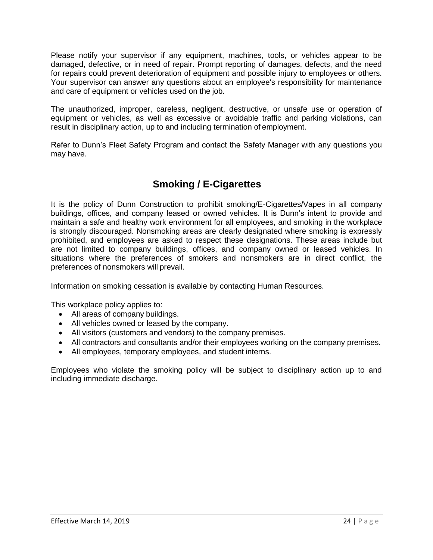Please notify your supervisor if any equipment, machines, tools, or vehicles appear to be damaged, defective, or in need of repair. Prompt reporting of damages, defects, and the need for repairs could prevent deterioration of equipment and possible injury to employees or others. Your supervisor can answer any questions about an employee's responsibility for maintenance and care of equipment or vehicles used on the job.

The unauthorized, improper, careless, negligent, destructive, or unsafe use or operation of equipment or vehicles, as well as excessive or avoidable traffic and parking violations, can result in disciplinary action, up to and including termination of employment.

Refer to Dunn's Fleet Safety Program and contact the Safety Manager with any questions you may have.

## **Smoking / E-Cigarettes**

It is the policy of Dunn Construction to prohibit smoking/E-Cigarettes/Vapes in all company buildings, offices, and company leased or owned vehicles. It is Dunn's intent to provide and maintain a safe and healthy work environment for all employees, and smoking in the workplace is strongly discouraged. Nonsmoking areas are clearly designated where smoking is expressly prohibited, and employees are asked to respect these designations. These areas include but are not limited to company buildings, offices, and company owned or leased vehicles. In situations where the preferences of smokers and nonsmokers are in direct conflict, the preferences of nonsmokers will prevail.

Information on smoking cessation is available by contacting Human Resources.

This workplace policy applies to:

- All areas of company buildings.
- All vehicles owned or leased by the company.
- All visitors (customers and vendors) to the company premises.
- All contractors and consultants and/or their employees working on the company premises.
- All employees, temporary employees, and student interns.

Employees who violate the smoking policy will be subject to disciplinary action up to and including immediate discharge.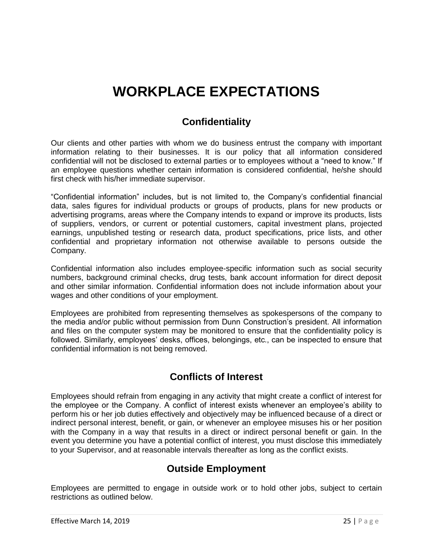# **WORKPLACE EXPECTATIONS**

## **Confidentiality**

<span id="page-24-1"></span><span id="page-24-0"></span>Our clients and other parties with whom we do business entrust the company with important information relating to their businesses. It is our policy that all information considered confidential will not be disclosed to external parties or to employees without a "need to know." If an employee questions whether certain information is considered confidential, he/she should first check with his/her immediate supervisor.

"Confidential information" includes, but is not limited to, the Company's confidential financial data, sales figures for individual products or groups of products, plans for new products or advertising programs, areas where the Company intends to expand or improve its products, lists of suppliers, vendors, or current or potential customers, capital investment plans, projected earnings, unpublished testing or research data, product specifications, price lists, and other confidential and proprietary information not otherwise available to persons outside the Company.

Confidential information also includes employee-specific information such as social security numbers, background criminal checks, drug tests, bank account information for direct deposit and other similar information. Confidential information does not include information about your wages and other conditions of your employment.

Employees are prohibited from representing themselves as spokespersons of the company to the media and/or public without permission from Dunn Construction's president. All information and files on the computer system may be monitored to ensure that the confidentiality policy is followed. Similarly, employees' desks, offices, belongings, etc., can be inspected to ensure that confidential information is not being removed.

## **Conflicts of Interest**

<span id="page-24-2"></span>Employees should refrain from engaging in any activity that might create a conflict of interest for the employee or the Company. A conflict of interest exists whenever an employee's ability to perform his or her job duties effectively and objectively may be influenced because of a direct or indirect personal interest, benefit, or gain, or whenever an employee misuses his or her position with the Company in a way that results in a direct or indirect personal benefit or gain. In the event you determine you have a potential conflict of interest, you must disclose this immediately to your Supervisor, and at reasonable intervals thereafter as long as the conflict exists.

## **Outside Employment**

<span id="page-24-3"></span>Employees are permitted to engage in outside work or to hold other jobs, subject to certain restrictions as outlined below.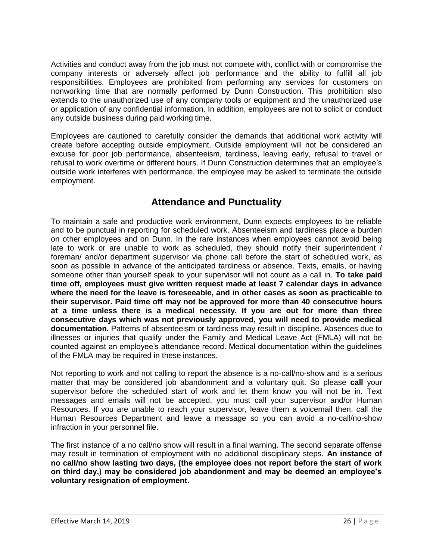Activities and conduct away from the job must not compete with, conflict with or compromise the company interests or adversely affect job performance and the ability to fulfill all job responsibilities. Employees are prohibited from performing any services for customers on nonworking time that are normally performed by Dunn Construction. This prohibition also extends to the unauthorized use of any company tools or equipment and the unauthorized use or application of any confidential information. In addition, employees are not to solicit or conduct any outside business during paid working time.

Employees are cautioned to carefully consider the demands that additional work activity will create before accepting outside employment. Outside employment will not be considered an excuse for poor job performance, absenteeism, tardiness, leaving early, refusal to travel or refusal to work overtime or different hours. If Dunn Construction determines that an employee's outside work interferes with performance, the employee may be asked to terminate the outside employment.

## **Attendance and Punctuality**

<span id="page-25-0"></span>To maintain a safe and productive work environment, Dunn expects employees to be reliable and to be punctual in reporting for scheduled work. Absenteeism and tardiness place a burden on other employees and on Dunn. In the rare instances when employees cannot avoid being late to work or are unable to work as scheduled, they should notify their superintendent / foreman/ and/or department supervisor via phone call before the start of scheduled work, as soon as possible in advance of the anticipated tardiness or absence. Texts, emails, or having someone other than yourself speak to your supervisor will not count as a call in. **To take paid time off, employees must give written request made at least 7 calendar days in advance where the need for the leave is foreseeable, and in other cases as soon as practicable to their supervisor. Paid time off may not be approved for more than 40 consecutive hours at a time unless there is a medical necessity. If you are out for more than three consecutive days which was not previously approved, you will need to provide medical documentation.** Patterns of absenteeism or tardiness may result in discipline. Absences due to illnesses or injuries that qualify under the Family and Medical Leave Act (FMLA) will not be counted against an employee's attendance record. Medical documentation within the guidelines of the FMLA may be required in these instances.

Not reporting to work and not calling to report the absence is a no-call/no-show and is a serious matter that may be considered job abandonment and a voluntary quit. So please **call** your supervisor before the scheduled start of work and let them know you will not be in. Text messages and emails will not be accepted, you must call your supervisor and/or Human Resources. If you are unable to reach your supervisor, leave them a voicemail then, call the Human Resources Department and leave a message so you can avoid a no-call/no-show infraction in your personnel file.

The first instance of a no call/no show will result in a final warning. The second separate offense may result in termination of employment with no additional disciplinary steps. **An instance of no call/no show lasting two days, (the employee does not report before the start of work on third day,) may be considered job abandonment and may be deemed an employee's voluntary resignation of employment.**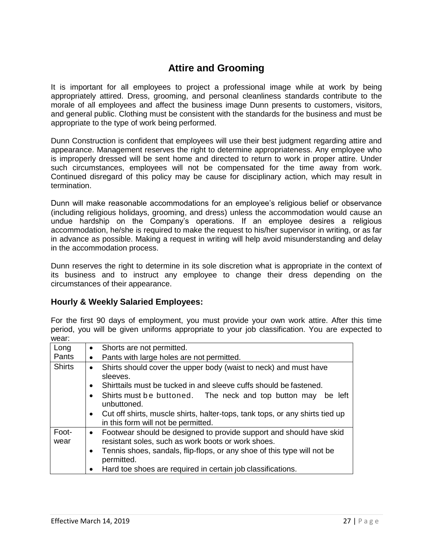## **Attire and Grooming**

<span id="page-26-0"></span>It is important for all employees to project a professional image while at work by being appropriately attired. Dress, grooming, and personal cleanliness standards contribute to the morale of all employees and affect the business image Dunn presents to customers, visitors, and general public. Clothing must be consistent with the standards for the business and must be appropriate to the type of work being performed.

Dunn Construction is confident that employees will use their best judgment regarding attire and appearance. Management reserves the right to determine appropriateness. Any employee who is improperly dressed will be sent home and directed to return to work in proper attire. Under such circumstances, employees will not be compensated for the time away from work. Continued disregard of this policy may be cause for disciplinary action, which may result in termination.

Dunn will make reasonable accommodations for an employee's religious belief or observance (including religious holidays, grooming, and dress) unless the accommodation would cause an undue hardship on the Company's operations. If an employee desires a religious accommodation, he/she is required to make the request to his/her supervisor in writing, or as far in advance as possible. Making a request in writing will help avoid misunderstanding and delay in the accommodation process.

Dunn reserves the right to determine in its sole discretion what is appropriate in the context of its business and to instruct any employee to change their dress depending on the circumstances of their appearance.

### **Hourly & Weekly Salaried Employees:**

For the first 90 days of employment, you must provide your own work attire. After this time period, you will be given uniforms appropriate to your job classification. You are expected to wear:

| Long          | Shorts are not permitted.                                                                                                                                                                                          |  |  |  |  |  |
|---------------|--------------------------------------------------------------------------------------------------------------------------------------------------------------------------------------------------------------------|--|--|--|--|--|
| Pants         | Pants with large holes are not permitted.                                                                                                                                                                          |  |  |  |  |  |
| <b>Shirts</b> | Shirts should cover the upper body (waist to neck) and must have<br>sleeves.                                                                                                                                       |  |  |  |  |  |
|               | Shirttails must be tucked in and sleeve cuffs should be fastened.<br>$\bullet$                                                                                                                                     |  |  |  |  |  |
|               | Shirts must be buttoned. The neck and top button may<br>be left<br>$\bullet$<br>unbuttoned.                                                                                                                        |  |  |  |  |  |
|               | Cut off shirts, muscle shirts, halter-tops, tank tops, or any shirts tied up<br>$\bullet$<br>in this form will not be permitted.                                                                                   |  |  |  |  |  |
| Foot-<br>wear | Footwear should be designed to provide support and should have skid<br>resistant soles, such as work boots or work shoes.<br>Tennis shoes, sandals, flip-flops, or any shoe of this type will not be<br>permitted. |  |  |  |  |  |
|               | Hard toe shoes are required in certain job classifications.<br>$\bullet$                                                                                                                                           |  |  |  |  |  |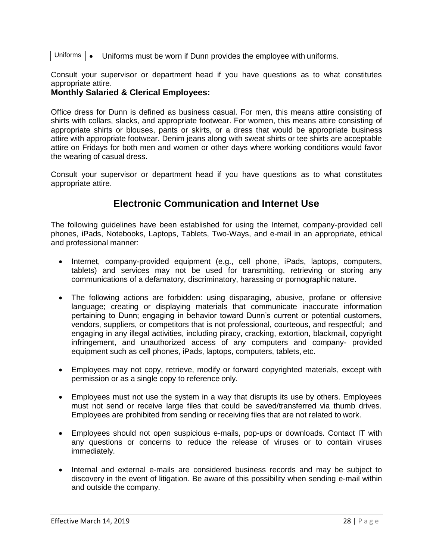#### Uniforms • • Uniforms must be worn if Dunn provides the employee with uniforms.

 $\mathbb{R}$ Consult your supervisor or department head if you have questions as to what constitutes appropriate attire.

### **Monthly Salaried & Clerical Employees:**

Office dress for Dunn is defined as business casual. For men, this means attire consisting of Shirts with collars, slacks, and appropriate footwear. For women, this means attire consisting of  $\frac{1}{2}$ emito appropriate shirts or blouses, pants or skirts, or a dress that would be appropriate business attire with appropriate footwear. Denim jeans along with sweat shirts or tee shirts are acceptable attire on Fridays for both men and women or other days where working conditions would favor the wearing of casual dress.

<span id="page-27-0"></span>Consult your supervisor or department head if you have questions as to what constitutes appropriate attire.

### **Electronic Communication and Internet Use**

The following guidelines have been established for using the Internet, company-provided cell phones, iPads, Notebooks, Laptops, Tablets, Two-Ways, and e-mail in an appropriate, ethical and professional manner:

- Internet, company-provided equipment (e.g., cell phone, iPads, laptops, computers, tablets) and services may not be used for transmitting, retrieving or storing any communications of a defamatory, discriminatory, harassing or pornographic nature.
- The following actions are forbidden: using disparaging, abusive, profane or offensive language; creating or displaying materials that communicate inaccurate information pertaining to Dunn; engaging in behavior toward Dunn's current or potential customers, vendors, suppliers, or competitors that is not professional, courteous, and respectful; and engaging in any illegal activities, including piracy, cracking, extortion, blackmail, copyright infringement, and unauthorized access of any computers and company- provided equipment such as cell phones, iPads, laptops, computers, tablets, etc.
- Employees may not copy, retrieve, modify or forward copyrighted materials, except with permission or as a single copy to reference only.
- Employees must not use the system in a way that disrupts its use by others. Employees must not send or receive large files that could be saved/transferred via thumb drives. Employees are prohibited from sending or receiving files that are not related to work.
- Employees should not open suspicious e-mails, pop-ups or downloads. Contact IT with any questions or concerns to reduce the release of viruses or to contain viruses immediately.
- Internal and external e-mails are considered business records and may be subject to discovery in the event of litigation. Be aware of this possibility when sending e-mail within and outside the company.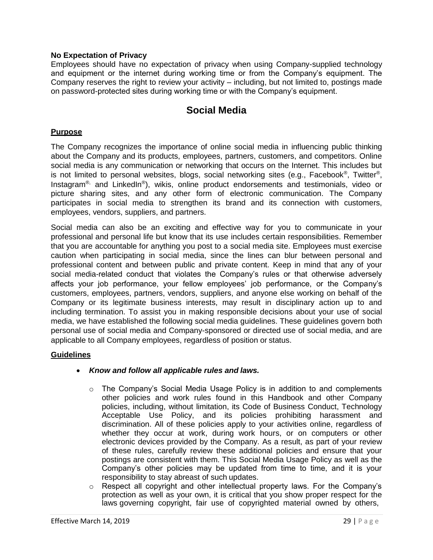### **No Expectation of Privacy**

Employees should have no expectation of privacy when using Company-supplied technology and equipment or the internet during working time or from the Company's equipment. The Company reserves the right to review your activity – including, but not limited to, postings made on password-protected sites during working time or with the Company's equipment.

### **Social Media**

#### <span id="page-28-0"></span>**Purpose**

The Company recognizes the importance of online social media in influencing public thinking about the Company and its products, employees, partners, customers, and competitors. Online social media is any communication or networking that occurs on the Internet. This includes but is not limited to personal websites, blogs, social networking sites (e.g., Facebook®, Twitter®, Instagram<sup>®,</sup> and LinkedIn<sup>®</sup>), wikis, online product endorsements and testimonials, video or picture sharing sites, and any other form of electronic communication. The Company participates in social media to strengthen its brand and its connection with customers, employees, vendors, suppliers, and partners.

Social media can also be an exciting and effective way for you to communicate in your professional and personal life but know that its use includes certain responsibilities. Remember that you are accountable for anything you post to a social media site. Employees must exercise caution when participating in social media, since the lines can blur between personal and professional content and between public and private content. Keep in mind that any of your social media-related conduct that violates the Company's rules or that otherwise adversely affects your job performance, your fellow employees' job performance, or the Company's customers, employees, partners, vendors, suppliers, and anyone else working on behalf of the Company or its legitimate business interests, may result in disciplinary action up to and including termination. To assist you in making responsible decisions about your use of social media, we have established the following social media guidelines. These guidelines govern both personal use of social media and Company-sponsored or directed use of social media, and are applicable to all Company employees, regardless of position or status.

### **Guidelines**

### • *Know and follow all applicable rules and laws.*

- o The Company's Social Media Usage Policy is in addition to and complements other policies and work rules found in this Handbook and other Company policies, including, without limitation, its Code of Business Conduct, Technology Acceptable Use Policy, and its policies prohibiting harassment and discrimination. All of these policies apply to your activities online, regardless of whether they occur at work, during work hours, or on computers or other electronic devices provided by the Company. As a result, as part of your review of these rules, carefully review these additional policies and ensure that your postings are consistent with them. This Social Media Usage Policy as well as the Company's other policies may be updated from time to time, and it is your responsibility to stay abreast of such updates.
- o Respect all copyright and other intellectual property laws. For the Company's protection as well as your own, it is critical that you show proper respect for the laws governing copyright, fair use of copyrighted material owned by others,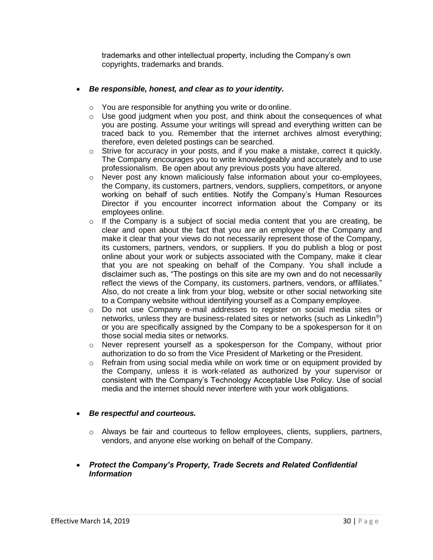trademarks and other intellectual property, including the Company's own copyrights, trademarks and brands.

### • *Be responsible, honest, and clear as to your identity.*

- o You are responsible for anything you write or do online.
- $\circ$  Use good judgment when you post, and think about the consequences of what you are posting. Assume your writings will spread and everything written can be traced back to you. Remember that the internet archives almost everything; therefore, even deleted postings can be searched.
- $\circ$  Strive for accuracy in your posts, and if you make a mistake, correct it quickly. The Company encourages you to write knowledgeably and accurately and to use professionalism. Be open about any previous posts you have altered.
- $\circ$  Never post any known maliciously false information about your co-employees, the Company, its customers, partners, vendors, suppliers, competitors, or anyone working on behalf of such entities. Notify the Company's Human Resources Director if you encounter incorrect information about the Company or its employees online.
- $\circ$  If the Company is a subject of social media content that you are creating, be clear and open about the fact that you are an employee of the Company and make it clear that your views do not necessarily represent those of the Company, its customers, partners, vendors, or suppliers. If you do publish a blog or post online about your work or subjects associated with the Company, make it clear that you are not speaking on behalf of the Company. You shall include a disclaimer such as, "The postings on this site are my own and do not necessarily reflect the views of the Company, its customers, partners, vendors, or affiliates." Also, do not create a link from your blog, website or other social networking site to a Company website without identifying yourself as a Company employee.
- o Do not use Company e-mail addresses to register on social media sites or networks, unless they are business-related sites or networks (such as LinkedIn<sup>®</sup>) or you are specifically assigned by the Company to be a spokesperson for it on those social media sites or networks.
- $\circ$  Never represent yourself as a spokesperson for the Company, without prior authorization to do so from the Vice President of Marketing or the President.
- o Refrain from using social media while on work time or on equipment provided by the Company, unless it is work-related as authorized by your supervisor or consistent with the Company's Technology Acceptable Use Policy. Use of social media and the internet should never interfere with your work obligations.

### • *Be respectful and courteous.*

- o Always be fair and courteous to fellow employees, clients, suppliers, partners, vendors, and anyone else working on behalf of the Company.
- *Protect the Company's Property, Trade Secrets and Related Confidential Information*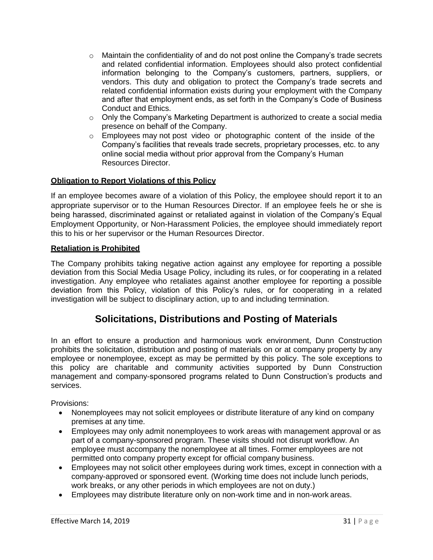- $\circ$  Maintain the confidentiality of and do not post online the Company's trade secrets and related confidential information. Employees should also protect confidential information belonging to the Company's customers, partners, suppliers, or vendors. This duty and obligation to protect the Company's trade secrets and related confidential information exists during your employment with the Company and after that employment ends, as set forth in the Company's Code of Business Conduct and Ethics.
- $\circ$  Only the Company's Marketing Department is authorized to create a social media presence on behalf of the Company.
- $\circ$  Employees may not post video or photographic content of the inside of the online social media without prior approval from the Company's Human Resources Director. Company's facilities that reveals trade secrets, proprietary processes, etc. to any

### **Obligation to Report Violations of this Policy**

If an employee becomes aware of a violation of this Policy, the employee should report it to an appropriate supervisor or to the Human Resources Director. If an employee feels he or she is being harassed, discriminated against or retaliated against in violation of the Company's Equal Employment Opportunity, or Non-Harassment Policies, the employee should immediately report this to his or her supervisor or the Human Resources Director.

### **Retaliation is Prohibited**

The Company prohibits taking negative action against any employee for reporting a possible deviation from this Social Media Usage Policy, including its rules, or for cooperating in a related investigation. Any employee who retaliates against another employee for reporting a possible deviation from this Policy, violation of this Policy's rules, or for cooperating in a related investigation will be subject to disciplinary action, up to and including termination.

### **Solicitations, Distributions and Posting of Materials**

<span id="page-30-0"></span>In an effort to ensure a production and harmonious work environment, Dunn Construction prohibits the solicitation, distribution and posting of materials on or at company property by any employee or nonemployee, except as may be permitted by this policy. The sole exceptions to this policy are charitable and community activities supported by Dunn Construction management and company-sponsored programs related to Dunn Construction's products and services.

Provisions:

- Nonemployees may not solicit employees or distribute literature of any kind on company premises at any time.
- Employees may only admit nonemployees to work areas with management approval or as part of a company-sponsored program. These visits should not disrupt workflow. An employee must accompany the nonemployee at all times. Former employees are not permitted onto company property except for official company business.
- Employees may not solicit other employees during work times, except in connection with a company-approved or sponsored event. (Working time does not include lunch periods, work breaks, or any other periods in which employees are not on duty.)
- Employees may distribute literature only on non-work time and in non-work areas.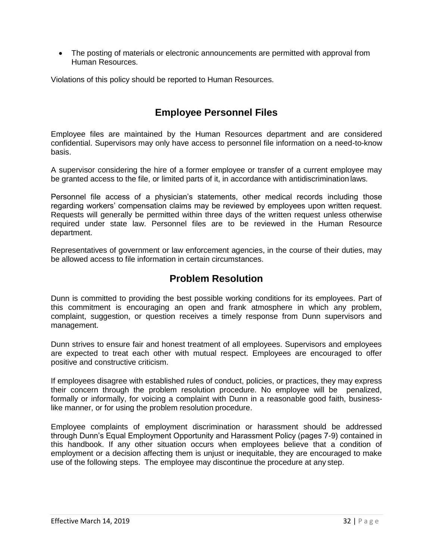• The posting of materials or electronic announcements are permitted with approval from Human Resources.

Violations of this policy should be reported to Human Resources.

## **Employee Personnel Files**

<span id="page-31-0"></span>Employee files are maintained by the Human Resources department and are considered confidential. Supervisors may only have access to personnel file information on a need-to-know basis.

A supervisor considering the hire of a former employee or transfer of a current employee may be granted access to the file, or limited parts of it, in accordance with antidiscrimination laws.

Personnel file access of a physician's statements, other medical records including those regarding workers' compensation claims may be reviewed by employees upon written request. Requests will generally be permitted within three days of the written request unless otherwise required under state law. Personnel files are to be reviewed in the Human Resource department.

<span id="page-31-1"></span>Representatives of government or law enforcement agencies, in the course of their duties, may be allowed access to file information in certain circumstances.

### **Problem Resolution**

Dunn is committed to providing the best possible working conditions for its employees. Part of this commitment is encouraging an open and frank atmosphere in which any problem, complaint, suggestion, or question receives a timely response from Dunn supervisors and management.

Dunn strives to ensure fair and honest treatment of all employees. Supervisors and employees are expected to treat each other with mutual respect. Employees are encouraged to offer positive and constructive criticism.

If employees disagree with established rules of conduct, policies, or practices, they may express their concern through the problem resolution procedure. No employee will be penalized, formally or informally, for voicing a complaint with Dunn in a reasonable good faith, businesslike manner, or for using the problem resolution procedure.

Employee complaints of employment discrimination or harassment should be addressed through Dunn's Equal Employment Opportunity and Harassment Policy (pages 7-9) contained in this handbook. If any other situation occurs when employees believe that a condition of employment or a decision affecting them is unjust or inequitable, they are encouraged to make use of the following steps. The employee may discontinue the procedure at any step.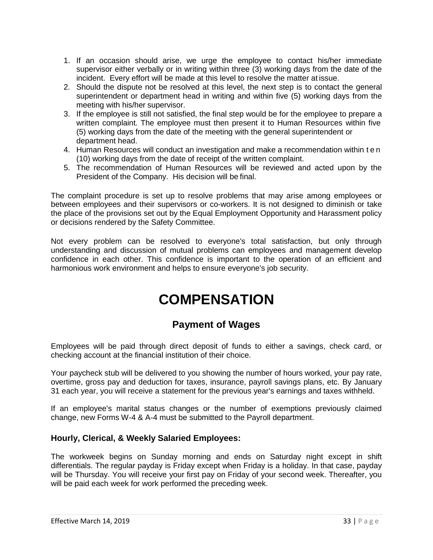- 1. If an occasion should arise, we urge the employee to contact his/her immediate supervisor either verbally or in writing within three (3) working days from the date of the incident. Every effort will be made at this level to resolve the matter at issue.
- 2. Should the dispute not be resolved at this level, the next step is to contact the general superintendent or department head in writing and within five (5) working days from the meeting with his/her supervisor.
- 3. If the employee is still not satisfied, the final step would be for the employee to prepare a written complaint. The employee must then present it to Human Resources within five (5) working days from the date of the meeting with the general superintendent or department head.
- 4. Human Resources will conduct an investigation and make a recommendation within t e n (10) working days from the date of receipt of the written complaint.
- 5. The recommendation of Human Resources will be reviewed and acted upon by the President of the Company. His decision will be final.

The complaint procedure is set up to resolve problems that may arise among employees or between employees and their supervisors or co-workers. It is not designed to diminish or take the place of the provisions set out by the Equal Employment Opportunity and Harassment policy or decisions rendered by the Safety Committee.

Not every problem can be resolved to everyone's total satisfaction, but only through understanding and discussion of mutual problems can employees and management develop confidence in each other. This confidence is important to the operation of an efficient and harmonious work environment and helps to ensure everyone's job security.

# **COMPENSATION**

## **Payment of Wages**

<span id="page-32-0"></span>Employees will be paid through direct deposit of funds to either a savings, check card, or checking account at the financial institution of their choice.

Your paycheck stub will be delivered to you showing the number of hours worked, your pay rate, overtime, gross pay and deduction for taxes, insurance, payroll savings plans, etc. By January 31 each year, you will receive a statement for the previous year's earnings and taxes withheld.

If an employee's marital status changes or the number of exemptions previously claimed change, new Forms W-4 & A-4 must be submitted to the Payroll department.

### **Hourly, Clerical, & Weekly Salaried Employees:**

The workweek begins on Sunday morning and ends on Saturday night except in shift differentials. The regular payday is Friday except when Friday is a holiday. In that case, payday will be Thursday. You will receive your first pay on Friday of your second week. Thereafter, you will be paid each week for work performed the preceding week.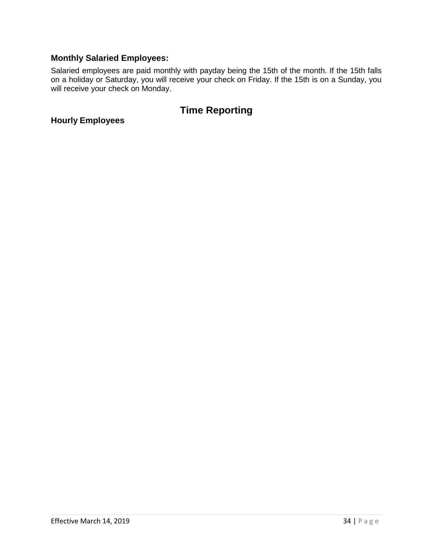### **Monthly Salaried Employees:**

Salaried employees are paid monthly with payday being the 15th of the month. If the 15th falls on a holiday or Saturday, you will receive your check on Friday. If the 15th is on a Sunday, you will receive your check on Monday.

## **Time Reporting**

<span id="page-33-0"></span>**Hourly Employees**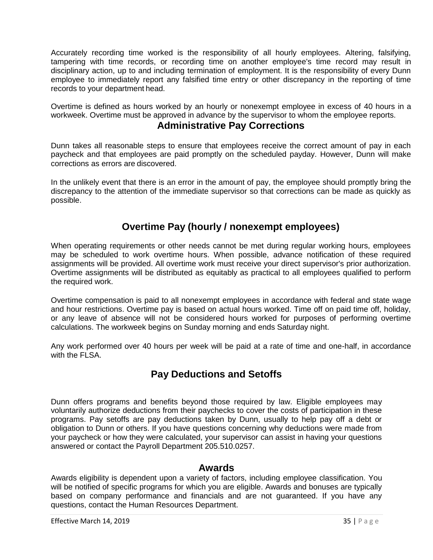Accurately recording time worked is the responsibility of all hourly employees. Altering, falsifying, tampering with time records, or recording time on another employee's time record may result in disciplinary action, up to and including termination of employment. It is the responsibility of every Dunn employee to immediately report any falsified time entry or other discrepancy in the reporting of time records to your department head.

Overtime is defined as hours worked by an hourly or nonexempt employee in excess of 40 hours in a workweek. Overtime must be approved in advance by the supervisor to whom the employee reports.

### **Administrative Pay Corrections**

Dunn takes all reasonable steps to ensure that employees receive the correct amount of pay in each paycheck and that employees are paid promptly on the scheduled payday. However, Dunn will make corrections as errors are discovered.

In the unlikely event that there is an error in the amount of pay, the employee should promptly bring the discrepancy to the attention of the immediate supervisor so that corrections can be made as quickly as possible.

## **Overtime Pay (hourly / nonexempt employees)**

<span id="page-34-0"></span>When operating requirements or other needs cannot be met during regular working hours, employees may be scheduled to work overtime hours. When possible, advance notification of these required assignments will be provided. All overtime work must receive your direct supervisor's prior authorization. Overtime assignments will be distributed as equitably as practical to all employees qualified to perform the required work.

Overtime compensation is paid to all nonexempt employees in accordance with federal and state wage and hour restrictions. Overtime pay is based on actual hours worked. Time off on paid time off, holiday, or any leave of absence will not be considered hours worked for purposes of performing overtime calculations. The workweek begins on Sunday morning and ends Saturday night.

<span id="page-34-1"></span>Any work performed over 40 hours per week will be paid at a rate of time and one-half, in accordance with the FLSA.

## **Pay Deductions and Setoffs**

Dunn offers programs and benefits beyond those required by law. Eligible employees may voluntarily authorize deductions from their paychecks to cover the costs of participation in these programs. Pay setoffs are pay deductions taken by Dunn, usually to help pay off a debt or obligation to Dunn or others. If you have questions concerning why deductions were made from your paycheck or how they were calculated, your supervisor can assist in having your questions answered or contact the Payroll Department 205.510.0257.

### **Awards**

Awards eligibility is dependent upon a variety of factors, including employee classification. You will be notified of specific programs for which you are eligible. Awards and bonuses are typically based on company performance and financials and are not guaranteed. If you have any questions, contact the Human Resources Department.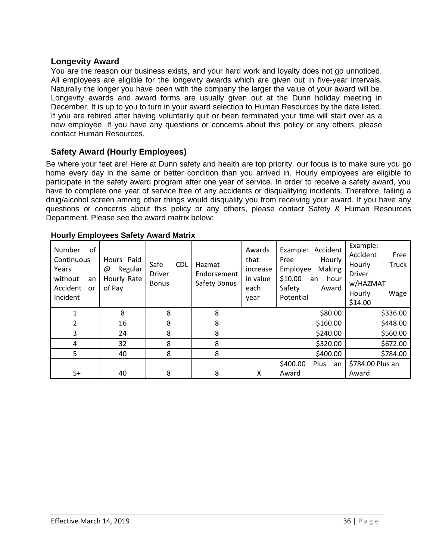### **Longevity Award**

You are the reason our business exists, and your hard work and loyalty does not go unnoticed. All employees are eligible for the longevity awards which are given out in five-year intervals. Naturally the longer you have been with the company the larger the value of your award will be. Longevity awards and award forms are usually given out at the Dunn holiday meeting in December. It is up to you to turn in your award selection to Human Resources by the date listed. If you are rehired after having voluntarily quit or been terminated your time will start over as a new employee. If you have any questions or concerns about this policy or any others, please contact Human Resources.

### **Safety Award (Hourly Employees)**

Be where your feet are! Here at Dunn safety and health are top priority, our focus is to make sure you go home every day in the same or better condition than you arrived in. Hourly employees are eligible to participate in the safety award program after one year of service. In order to receive a safety award, you have to complete one year of service free of any accidents or disqualifying incidents. Therefore, failing a drug/alcohol screen among other things would disqualify you from receiving your award. If you have any questions or concerns about this policy or any others, please contact Safety & Human Resources Department. Please see the award matrix below:

| οf<br>Number<br>Continuous<br>Years<br>without<br>an<br>Accident<br>or<br>Incident | Hours Paid<br>Regular<br>@<br>Hourly Rate<br>of Pay | Safe<br><b>CDL</b><br><b>Driver</b><br><b>Bonus</b> | Hazmat<br>Endorsement<br>Safety Bonus | Awards<br>that<br>increase<br>in value<br>each<br>year | Accident<br>Example:<br>Hourly<br>Free<br>Making<br>Employee<br>\$10.00<br>hour<br>an<br>Safety<br>Award<br>Potential | Example:<br>Accident<br>Free<br>Truck<br>Hourly<br><b>Driver</b><br>w/HAZMAT<br>Hourly<br>Wage<br>\$14.00 |
|------------------------------------------------------------------------------------|-----------------------------------------------------|-----------------------------------------------------|---------------------------------------|--------------------------------------------------------|-----------------------------------------------------------------------------------------------------------------------|-----------------------------------------------------------------------------------------------------------|
|                                                                                    | 8                                                   | 8                                                   | 8                                     |                                                        | \$80.00                                                                                                               | \$336.00                                                                                                  |
| 2                                                                                  | 16                                                  | 8                                                   | 8                                     |                                                        | \$160.00                                                                                                              | \$448.00                                                                                                  |
| 3                                                                                  | 24                                                  | 8                                                   | 8                                     |                                                        | \$240.00                                                                                                              | \$560.00                                                                                                  |
| 4                                                                                  | 32                                                  | 8                                                   | 8                                     |                                                        | \$320.00                                                                                                              | \$672.00                                                                                                  |
| 5                                                                                  | 40                                                  | 8                                                   | 8                                     |                                                        | \$400.00                                                                                                              | \$784.00                                                                                                  |
| 5+                                                                                 | 40                                                  | 8                                                   | 8                                     | X                                                      | \$400.00<br>Plus<br>an<br>Award                                                                                       | \$784.00 Plus an<br>Award                                                                                 |

#### **Hourly Employees Safety Award Matrix**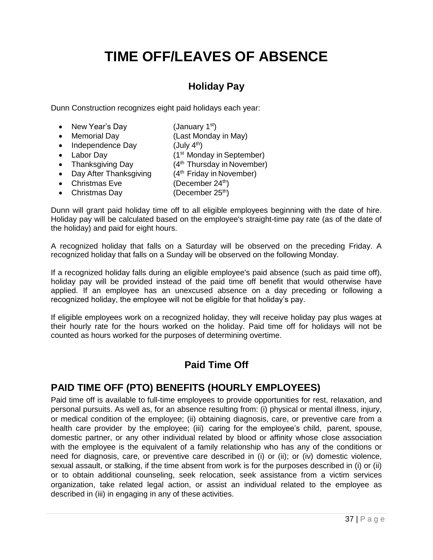# **TIME OFF/LEAVES OF ABSENCE**

## **Holiday Pay**

<span id="page-36-1"></span><span id="page-36-0"></span>Dunn Construction recognizes eight paid holidays each year:

- New Year's Day (January  $1<sup>st</sup>$ )
- Memorial Day (Last Monday in May)
- Independence Day
- 
- $($ July  $4<sup>th</sup>$ ) • Labor Day (1<sup>st</sup> Monday in September)
- Thanksgiving Day  $(4<sup>th</sup> Thursday in November)$
- Day After Thanksgiving  $(4<sup>th</sup> Friday in November)$
- Christmas Eve  $(December 24<sup>th</sup>)$
- Christmas Day (December  $25<sup>th</sup>$ )

Dunn will grant paid holiday time off to all eligible employees beginning with the date of hire. Holiday pay will be calculated based on the employee's straight-time pay rate (as of the date of the holiday) and paid for eight hours.

A recognized holiday that falls on a Saturday will be observed on the preceding Friday. A recognized holiday that falls on a Sunday will be observed on the following Monday.

If a recognized holiday falls during an eligible employee's paid absence (such as paid time off), holiday pay will be provided instead of the paid time off benefit that would otherwise have applied. If an employee has an unexcused absence on a day preceding or following a recognized holiday, the employee will not be eligible for that holiday's pay.

If eligible employees work on a recognized holiday, they will receive holiday pay plus wages at their hourly rate for the hours worked on the holiday. Paid time off for holidays will not be counted as hours worked for the purposes of determining overtime.

## **Paid Time Off**

## <span id="page-36-2"></span>**PAID TIME OFF (PTO) BENEFITS (HOURLY EMPLOYEES)**

Paid time off is available to full-time employees to provide opportunities for rest, relaxation, and personal pursuits. As well as, for an absence resulting from: (i) physical or mental illness, injury, or medical condition of the employee; (ii) obtaining diagnosis, care, or preventive care from a health care provider by the employee; (iii) caring for the employee's child, parent, spouse, domestic partner, or any other individual related by blood or affinity whose close association with the employee is the equivalent of a family relationship who has any of the conditions or need for diagnosis, care, or preventive care described in (i) or (ii); or (iv) domestic violence, sexual assault, or stalking, if the time absent from work is for the purposes described in (i) or (ii) or to obtain additional counseling, seek relocation, seek assistance from a victim services organization, take related legal action, or assist an individual related to the employee as described in (iii) in engaging in any of these activities.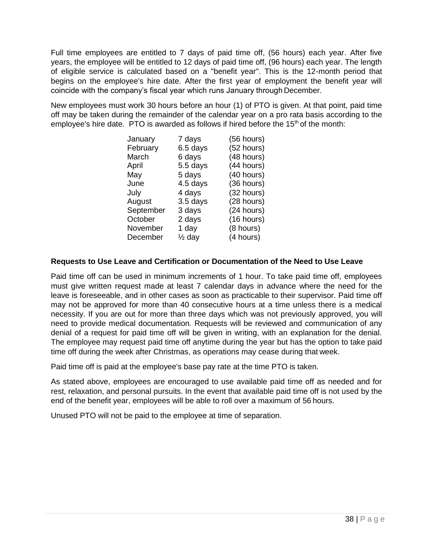Full time employees are entitled to 7 days of paid time off, (56 hours) each year. After five years, the employee will be entitled to 12 days of paid time off, (96 hours) each year. The length of eligible service is calculated based on a "benefit year". This is the 12-month period that begins on the employee's hire date. After the first year of employment the benefit year will coincide with the company's fiscal year which runs January through December.

New employees must work 30 hours before an hour (1) of PTO is given. At that point, paid time off may be taken during the remainder of the calendar year on a pro rata basis according to the employee's hire date. PTO is awarded as follows if hired before the  $15<sup>th</sup>$  of the month:

| January   | 7 days            | $(56$ hours) |
|-----------|-------------------|--------------|
| February  | 6.5 days          | (52 hours)   |
| March     | 6 days            | (48 hours)   |
| April     | 5.5 days          | (44 hours)   |
| May       | 5 days            | (40 hours)   |
| June      | 4.5 days          | (36 hours)   |
| July      | 4 days            | (32 hours)   |
| August    | 3.5 days          | (28 hours)   |
| September | 3 days            | (24 hours)   |
| October   | 2 days            | (16 hours)   |
| November  | 1 day             | (8 hours)    |
| December  | $\frac{1}{2}$ day | (4 hours)    |

### **Requests to Use Leave and Certification or Documentation of the Need to Use Leave**

Paid time off can be used in minimum increments of 1 hour. To take paid time off, employees must give written request made at least 7 calendar days in advance where the need for the leave is foreseeable, and in other cases as soon as practicable to their supervisor. Paid time off may not be approved for more than 40 consecutive hours at a time unless there is a medical necessity. If you are out for more than three days which was not previously approved, you will need to provide medical documentation. Requests will be reviewed and communication of any denial of a request for paid time off will be given in writing, with an explanation for the denial. The employee may request paid time off anytime during the year but has the option to take paid time off during the week after Christmas, as operations may cease during that week.

Paid time off is paid at the employee's base pay rate at the time PTO is taken.

As stated above, employees are encouraged to use available paid time off as needed and for rest, relaxation, and personal pursuits. In the event that available paid time off is not used by the end of the benefit year, employees will be able to roll over a maximum of 56 hours.

Unused PTO will not be paid to the employee at time of separation.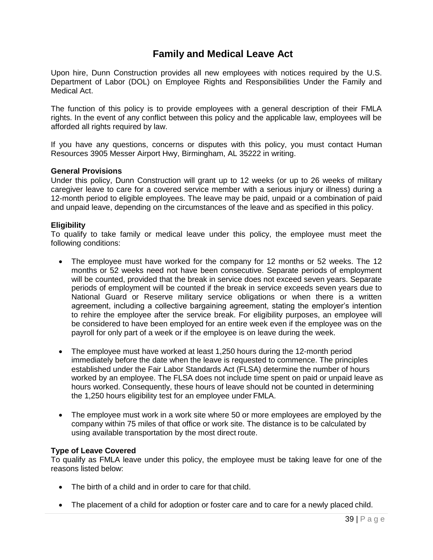## **Family and Medical Leave Act**

Upon hire, Dunn Construction provides all new employees with notices required by the U.S. Department of Labor (DOL) on Employee Rights and Responsibilities Under the Family and Medical Act.

The function of this policy is to provide employees with a general description of their FMLA rights. In the event of any conflict between this policy and the applicable law, employees will be afforded all rights required by law.

If you have any questions, concerns or disputes with this policy, you must contact Human Resources 3905 Messer Airport Hwy, Birmingham, AL 35222 in writing.

#### **General Provisions**

Under this policy, Dunn Construction will grant up to 12 weeks (or up to 26 weeks of military caregiver leave to care for a covered service member with a serious injury or illness) during a 12-month period to eligible employees. The leave may be paid, unpaid or a combination of paid and unpaid leave, depending on the circumstances of the leave and as specified in this policy.

#### **Eligibility**

To qualify to take family or medical leave under this policy, the employee must meet the following conditions:

- The employee must have worked for the company for 12 months or 52 weeks. The 12 months or 52 weeks need not have been consecutive. Separate periods of employment will be counted, provided that the break in service does not exceed seven years. Separate periods of employment will be counted if the break in service exceeds seven years due to National Guard or Reserve military service obligations or when there is a written agreement, including a collective bargaining agreement, stating the employer's intention to rehire the employee after the service break. For eligibility purposes, an employee will be considered to have been employed for an entire week even if the employee was on the payroll for only part of a week or if the employee is on leave during the week.
- The employee must have worked at least 1,250 hours during the 12-month period immediately before the date when the leave is requested to commence. The principles established under the Fair Labor Standards Act (FLSA) determine the number of hours worked by an employee. The FLSA does not include time spent on paid or unpaid leave as hours worked. Consequently, these hours of leave should not be counted in determining the 1,250 hours eligibility test for an employee under FMLA.
- The employee must work in a work site where 50 or more employees are employed by the company within 75 miles of that office or work site. The distance is to be calculated by using available transportation by the most direct route.

#### **Type of Leave Covered**

To qualify as FMLA leave under this policy, the employee must be taking leave for one of the reasons listed below:

- The birth of a child and in order to care for that child.
- The placement of a child for adoption or foster care and to care for a newly placed child.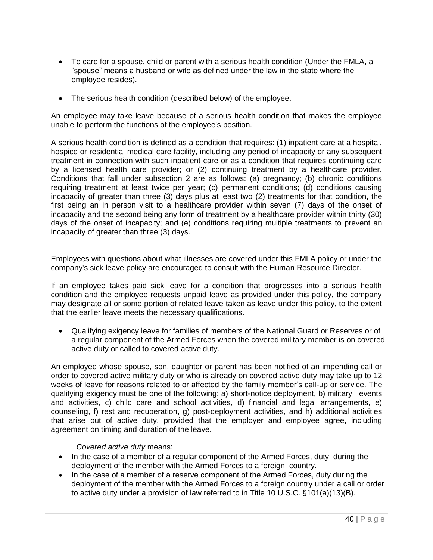- To care for a spouse, child or parent with a serious health condition (Under the FMLA, a "spouse" means a husband or wife as defined under the law in the state where the employee resides).
- The serious health condition (described below) of the employee.

An employee may take leave because of a serious health condition that makes the employee unable to perform the functions of the employee's position.

A serious health condition is defined as a condition that requires: (1) inpatient care at a hospital, hospice or residential medical care facility, including any period of incapacity or any subsequent treatment in connection with such inpatient care or as a condition that requires continuing care by a licensed health care provider; or (2) continuing treatment by a healthcare provider. Conditions that fall under subsection 2 are as follows: (a) pregnancy; (b) chronic conditions requiring treatment at least twice per year; (c) permanent conditions; (d) conditions causing incapacity of greater than three (3) days plus at least two (2) treatments for that condition, the first being an in person visit to a healthcare provider within seven (7) days of the onset of incapacity and the second being any form of treatment by a healthcare provider within thirty (30) days of the onset of incapacity; and (e) conditions requiring multiple treatments to prevent an incapacity of greater than three (3) days.

Employees with questions about what illnesses are covered under this FMLA policy or under the company's sick leave policy are encouraged to consult with the Human Resource Director.

If an employee takes paid sick leave for a condition that progresses into a serious health condition and the employee requests unpaid leave as provided under this policy, the company may designate all or some portion of related leave taken as leave under this policy, to the extent that the earlier leave meets the necessary qualifications.

• Qualifying exigency leave for families of members of the National Guard or Reserves or of a regular component of the Armed Forces when the covered military member is on covered active duty or called to covered active duty.

An employee whose spouse, son, daughter or parent has been notified of an impending call or order to covered active military duty or who is already on covered active duty may take up to 12 weeks of leave for reasons related to or affected by the family member's call-up or service. The qualifying exigency must be one of the following: a) short-notice deployment, b) military events and activities, c) child care and school activities, d) financial and legal arrangements, e) counseling, f) rest and recuperation, g) post-deployment activities, and h) additional activities that arise out of active duty, provided that the employer and employee agree, including agreement on timing and duration of the leave.

### *Covered active duty* means:

- In the case of a member of a regular component of the Armed Forces, duty during the deployment of the member with the Armed Forces to a foreign country.
- In the case of a member of a reserve component of the Armed Forces, duty during the deployment of the member with the Armed Forces to a foreign country under a call or order to active duty under a provision of law referred to in Title 10 U.S.C.  $\S 101(a)(13)(B)$ .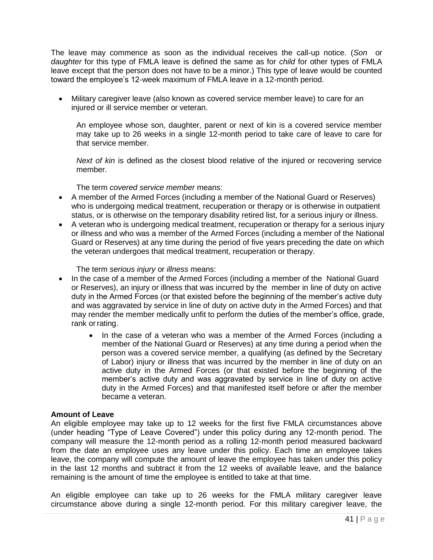The leave may commence as soon as the individual receives the call-up notice. (*Son* or *daughter* for this type of FMLA leave is defined the same as for *child* for other types of FMLA leave except that the person does not have to be a minor.) This type of leave would be counted toward the employee's 12-week maximum of FMLA leave in a 12-month period.

• Military caregiver leave (also known as covered service member leave) to care for an injured or ill service member or veteran.

An employee whose son, daughter, parent or next of kin is a covered service member may take up to 26 weeks in a single 12-month period to take care of leave to care for that service member.

*Next of kin* is defined as the closest blood relative of the injured or recovering service member.

The term *covered service member* means:

- A member of the Armed Forces (including a member of the National Guard or Reserves) who is undergoing medical treatment, recuperation or therapy or is otherwise in outpatient status, or is otherwise on the temporary disability retired list, for a serious injury or illness.
- A veteran who is undergoing medical treatment, recuperation or therapy for a serious injury or illness and who was a member of the Armed Forces (including a member of the National Guard or Reserves) at any time during the period of five years preceding the date on which the veteran undergoes that medical treatment, recuperation or therapy.

The term *serious injury* or *illness* means:

- In the case of a member of the Armed Forces (including a member of the National Guard or Reserves), an injury or illness that was incurred by the member in line of duty on active duty in the Armed Forces (or that existed before the beginning of the member's active duty and was aggravated by service in line of duty on active duty in the Armed Forces) and that may render the member medically unfit to perform the duties of the member's office, grade, rank or rating.
	- In the case of a veteran who was a member of the Armed Forces (including a member of the National Guard or Reserves) at any time during a period when the person was a covered service member, a qualifying (as defined by the Secretary of Labor) injury or illness that was incurred by the member in line of duty on an active duty in the Armed Forces (or that existed before the beginning of the member's active duty and was aggravated by service in line of duty on active duty in the Armed Forces) and that manifested itself before or after the member became a veteran.

### **Amount of Leave**

An eligible employee may take up to 12 weeks for the first five FMLA circumstances above (under heading "Type of Leave Covered") under this policy during any 12-month period. The company will measure the 12-month period as a rolling 12-month period measured backward from the date an employee uses any leave under this policy. Each time an employee takes leave, the company will compute the amount of leave the employee has taken under this policy in the last 12 months and subtract it from the 12 weeks of available leave, and the balance remaining is the amount of time the employee is entitled to take at that time.

An eligible employee can take up to 26 weeks for the FMLA military caregiver leave circumstance above during a single 12-month period. For this military caregiver leave, the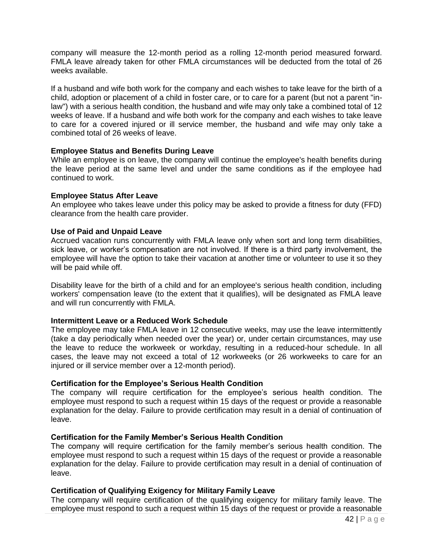company will measure the 12-month period as a rolling 12-month period measured forward. FMLA leave already taken for other FMLA circumstances will be deducted from the total of 26 weeks available.

If a husband and wife both work for the company and each wishes to take leave for the birth of a child, adoption or placement of a child in foster care, or to care for a parent (but not a parent "inlaw") with a serious health condition, the husband and wife may only take a combined total of 12 weeks of leave. If a husband and wife both work for the company and each wishes to take leave to care for a covered injured or ill service member, the husband and wife may only take a combined total of 26 weeks of leave.

#### **Employee Status and Benefits During Leave**

While an employee is on leave, the company will continue the employee's health benefits during the leave period at the same level and under the same conditions as if the employee had continued to work.

#### **Employee Status After Leave**

An employee who takes leave under this policy may be asked to provide a fitness for duty (FFD) clearance from the health care provider.

#### **Use of Paid and Unpaid Leave**

Accrued vacation runs concurrently with FMLA leave only when sort and long term disabilities, sick leave, or worker's compensation are not involved. If there is a third party involvement, the employee will have the option to take their vacation at another time or volunteer to use it so they will be paid while off.

Disability leave for the birth of a child and for an employee's serious health condition, including workers' compensation leave (to the extent that it qualifies), will be designated as FMLA leave and will run concurrently with FMLA.

#### **Intermittent Leave or a Reduced Work Schedule**

The employee may take FMLA leave in 12 consecutive weeks, may use the leave intermittently (take a day periodically when needed over the year) or, under certain circumstances, may use the leave to reduce the workweek or workday, resulting in a reduced-hour schedule. In all cases, the leave may not exceed a total of 12 workweeks (or 26 workweeks to care for an injured or ill service member over a 12-month period).

### **Certification for the Employee's Serious Health Condition**

The company will require certification for the employee's serious health condition. The employee must respond to such a request within 15 days of the request or provide a reasonable explanation for the delay. Failure to provide certification may result in a denial of continuation of leave.

### **Certification for the Family Member's Serious Health Condition**

The company will require certification for the family member's serious health condition. The employee must respond to such a request within 15 days of the request or provide a reasonable explanation for the delay. Failure to provide certification may result in a denial of continuation of leave.

#### **Certification of Qualifying Exigency for Military Family Leave**

The company will require certification of the qualifying exigency for military family leave. The employee must respond to such a request within 15 days of the request or provide a reasonable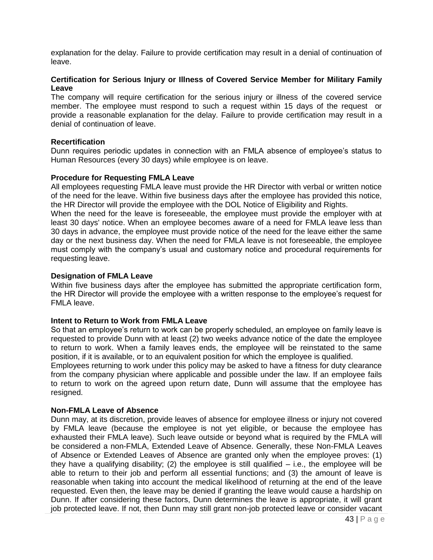explanation for the delay. Failure to provide certification may result in a denial of continuation of leave.

#### **Certification for Serious Injury or Illness of Covered Service Member for Military Family Leave**

The company will require certification for the serious injury or illness of the covered service member. The employee must respond to such a request within 15 days of the request or provide a reasonable explanation for the delay. Failure to provide certification may result in a denial of continuation of leave.

#### **Recertification**

Dunn requires periodic updates in connection with an FMLA absence of employee's status to Human Resources (every 30 days) while employee is on leave.

#### **Procedure for Requesting FMLA Leave**

All employees requesting FMLA leave must provide the HR Director with verbal or written notice of the need for the leave. Within five business days after the employee has provided this notice, the HR Director will provide the employee with the DOL Notice of Eligibility and Rights.

When the need for the leave is foreseeable, the employee must provide the employer with at least 30 days' notice. When an employee becomes aware of a need for FMLA leave less than 30 days in advance, the employee must provide notice of the need for the leave either the same day or the next business day. When the need for FMLA leave is not foreseeable, the employee must comply with the company's usual and customary notice and procedural requirements for requesting leave.

#### **Designation of FMLA Leave**

Within five business days after the employee has submitted the appropriate certification form, the HR Director will provide the employee with a written response to the employee's request for FMLA leave.

#### **Intent to Return to Work from FMLA Leave**

So that an employee's return to work can be properly scheduled, an employee on family leave is requested to provide Dunn with at least (2) two weeks advance notice of the date the employee to return to work. When a family leaves ends, the employee will be reinstated to the same position, if it is available, or to an equivalent position for which the employee is qualified.

Employees returning to work under this policy may be asked to have a fitness for duty clearance from the company physician where applicable and possible under the law. If an employee fails to return to work on the agreed upon return date, Dunn will assume that the employee has resigned.

#### **Non-FMLA Leave of Absence**

Dunn may, at its discretion, provide leaves of absence for employee illness or injury not covered by FMLA leave (because the employee is not yet eligible, or because the employee has exhausted their FMLA leave). Such leave outside or beyond what is required by the FMLA will be considered a non-FMLA, Extended Leave of Absence. Generally, these Non-FMLA Leaves of Absence or Extended Leaves of Absence are granted only when the employee proves: (1) they have a qualifying disability; (2) the employee is still qualified – i.e., the employee will be able to return to their job and perform all essential functions; and (3) the amount of leave is reasonable when taking into account the medical likelihood of returning at the end of the leave requested. Even then, the leave may be denied if granting the leave would cause a hardship on Dunn. If after considering these factors, Dunn determines the leave is appropriate, it will grant job protected leave. If not, then Dunn may still grant non-job protected leave or consider vacant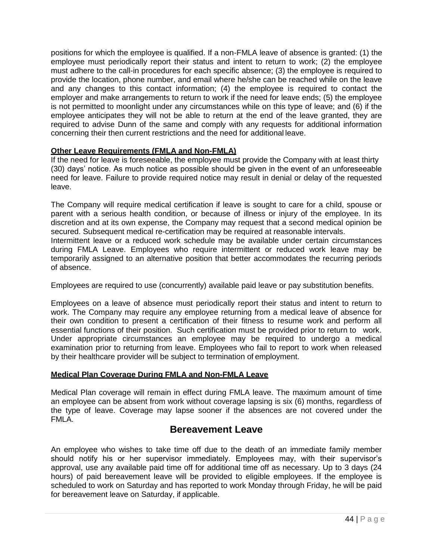positions for which the employee is qualified. If a non-FMLA leave of absence is granted: (1) the employee must periodically report their status and intent to return to work; (2) the employee must adhere to the call-in procedures for each specific absence; (3) the employee is required to provide the location, phone number, and email where he/she can be reached while on the leave and any changes to this contact information; (4) the employee is required to contact the employer and make arrangements to return to work if the need for leave ends; (5) the employee is not permitted to moonlight under any circumstances while on this type of leave; and (6) if the employee anticipates they will not be able to return at the end of the leave granted, they are required to advise Dunn of the same and comply with any requests for additional information concerning their then current restrictions and the need for additional leave.

### **Other Leave Requirements (FMLA and Non-FMLA)**

If the need for leave is foreseeable, the employee must provide the Company with at least thirty (30) days' notice. As much notice as possible should be given in the event of an unforeseeable need for leave. Failure to provide required notice may result in denial or delay of the requested leave.

The Company will require medical certification if leave is sought to care for a child, spouse or parent with a serious health condition, or because of illness or injury of the employee. In its discretion and at its own expense, the Company may request that a second medical opinion be secured. Subsequent medical re-certification may be required at reasonable intervals.

Intermittent leave or a reduced work schedule may be available under certain circumstances during FMLA Leave. Employees who require intermittent or reduced work leave may be temporarily assigned to an alternative position that better accommodates the recurring periods of absence.

Employees are required to use (concurrently) available paid leave or pay substitution benefits.

Employees on a leave of absence must periodically report their status and intent to return to work. The Company may require any employee returning from a medical leave of absence for their own condition to present a certification of their fitness to resume work and perform all essential functions of their position. Such certification must be provided prior to return to work. Under appropriate circumstances an employee may be required to undergo a medical examination prior to returning from leave. Employees who fail to report to work when released by their healthcare provider will be subject to termination of employment.

### **Medical Plan Coverage During FMLA and Non-FMLA Leave**

Medical Plan coverage will remain in effect during FMLA leave. The maximum amount of time an employee can be absent from work without coverage lapsing is six (6) months, regardless of the type of leave. Coverage may lapse sooner if the absences are not covered under the FMLA.

### **Bereavement Leave**

<span id="page-43-0"></span>An employee who wishes to take time off due to the death of an immediate family member should notify his or her supervisor immediately. Employees may, with their supervisor's approval, use any available paid time off for additional time off as necessary. Up to 3 days (24 hours) of paid bereavement leave will be provided to eligible employees. If the employee is scheduled to work on Saturday and has reported to work Monday through Friday, he will be paid for bereavement leave on Saturday, if applicable.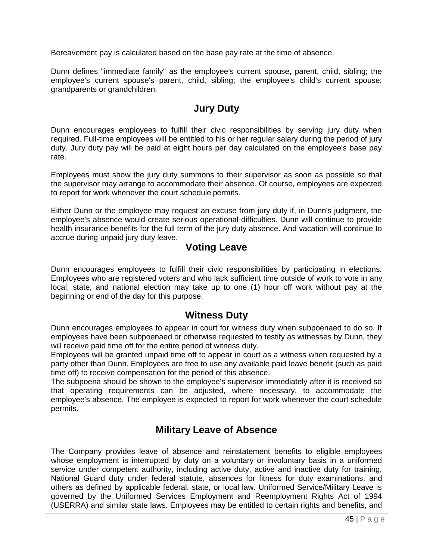Bereavement pay is calculated based on the base pay rate at the time of absence.

Dunn defines "immediate family" as the employee's current spouse, parent, child, sibling; the employee's current spouse's parent, child, sibling; the employee's child's current spouse; grandparents or grandchildren.

### **Jury Duty**

<span id="page-44-0"></span>Dunn encourages employees to fulfill their civic responsibilities by serving jury duty when required. Full-time employees will be entitled to his or her regular salary during the period of jury duty. Jury duty pay will be paid at eight hours per day calculated on the employee's base pay rate.

Employees must show the jury duty summons to their supervisor as soon as possible so that the supervisor may arrange to accommodate their absence. Of course, employees are expected to report for work whenever the court schedule permits.

Either Dunn or the employee may request an excuse from jury duty if, in Dunn's judgment, the employee's absence would create serious operational difficulties. Dunn will continue to provide health insurance benefits for the full term of the jury duty absence. And vacation will continue to accrue during unpaid jury duty leave.

## <span id="page-44-1"></span>**Voting Leave**

<span id="page-44-2"></span>Dunn encourages employees to fulfill their civic responsibilities by participating in elections. Employees who are registered voters and who lack sufficient time outside of work to vote in any local, state, and national election may take up to one (1) hour off work without pay at the beginning or end of the day for this purpose.

### **Witness Duty**

Dunn encourages employees to appear in court for witness duty when subpoenaed to do so. If employees have been subpoenaed or otherwise requested to testify as witnesses by Dunn, they will receive paid time off for the entire period of witness duty.

Employees will be granted unpaid time off to appear in court as a witness when requested by a party other than Dunn. Employees are free to use any available paid leave benefit (such as paid time off) to receive compensation for the period of this absence.

The subpoena should be shown to the employee's supervisor immediately after it is received so that operating requirements can be adjusted, where necessary, to accommodate the employee's absence. The employee is expected to report for work whenever the court schedule permits.

### **Military Leave of Absence**

The Company provides leave of absence and reinstatement benefits to eligible employees whose employment is interrupted by duty on a voluntary or involuntary basis in a uniformed service under competent authority, including active duty, active and inactive duty for training, National Guard duty under federal statute, absences for fitness for duty examinations, and others as defined by applicable federal, state, or local law. Uniformed Service/Military Leave is governed by the Uniformed Services Employment and Reemployment Rights Act of 1994 (USERRA) and similar state laws. Employees may be entitled to certain rights and benefits, and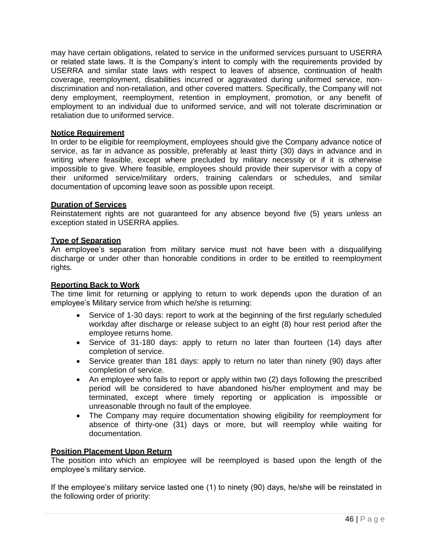may have certain obligations, related to service in the uniformed services pursuant to USERRA or related state laws. It is the Company's intent to comply with the requirements provided by USERRA and similar state laws with respect to leaves of absence, continuation of health coverage, reemployment, disabilities incurred or aggravated during uniformed service, nondiscrimination and non-retaliation, and other covered matters. Specifically, the Company will not deny employment, reemployment, retention in employment, promotion, or any benefit of employment to an individual due to uniformed service, and will not tolerate discrimination or retaliation due to uniformed service.

#### **Notice Requirement**

In order to be eligible for reemployment, employees should give the Company advance notice of service, as far in advance as possible, preferably at least thirty (30) days in advance and in writing where feasible, except where precluded by military necessity or if it is otherwise impossible to give. Where feasible, employees should provide their supervisor with a copy of their uniformed service/military orders, training calendars or schedules, and similar documentation of upcoming leave soon as possible upon receipt.

### **Duration of Services**

Reinstatement rights are not guaranteed for any absence beyond five (5) years unless an exception stated in USERRA applies.

#### **Type of Separation**

An employee's separation from military service must not have been with a disqualifying discharge or under other than honorable conditions in order to be entitled to reemployment rights.

#### **Reporting Back to Work**

The time limit for returning or applying to return to work depends upon the duration of an employee's Military service from which he/she is returning:

- Service of 1-30 days: report to work at the beginning of the first regularly scheduled workday after discharge or release subject to an eight (8) hour rest period after the employee returns home.
- Service of 31-180 days: apply to return no later than fourteen (14) days after completion of service.
- Service greater than 181 days: apply to return no later than ninety (90) days after completion of service.
- An employee who fails to report or apply within two (2) days following the prescribed period will be considered to have abandoned his/her employment and may be terminated, except where timely reporting or application is impossible or unreasonable through no fault of the employee.
- The Company may require documentation showing eligibility for reemployment for absence of thirty-one (31) days or more, but will reemploy while waiting for documentation.

### **Position Placement Upon Return**

The position into which an employee will be reemployed is based upon the length of the employee's military service.

If the employee's military service lasted one (1) to ninety (90) days, he/she will be reinstated in the following order of priority: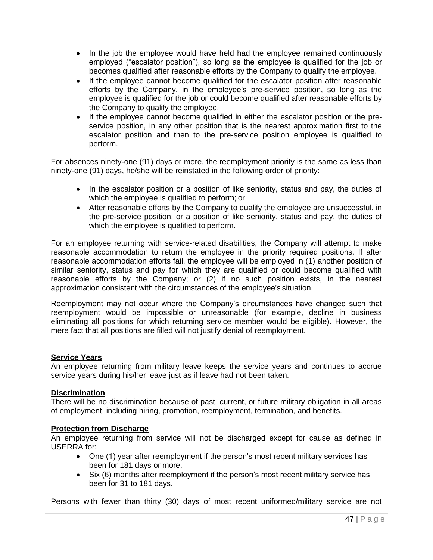- In the job the employee would have held had the employee remained continuously employed ("escalator position"), so long as the employee is qualified for the job or becomes qualified after reasonable efforts by the Company to qualify the employee.
- If the employee cannot become qualified for the escalator position after reasonable efforts by the Company, in the employee's pre-service position, so long as the employee is qualified for the job or could become qualified after reasonable efforts by the Company to qualify the employee.
- If the employee cannot become qualified in either the escalator position or the preservice position, in any other position that is the nearest approximation first to the escalator position and then to the pre-service position employee is qualified to perform.

For absences ninety-one (91) days or more, the reemployment priority is the same as less than ninety-one (91) days, he/she will be reinstated in the following order of priority:

- In the escalator position or a position of like seniority, status and pay, the duties of which the employee is qualified to perform; or
- After reasonable efforts by the Company to qualify the employee are unsuccessful, in the pre-service position, or a position of like seniority, status and pay, the duties of which the employee is qualified to perform.

For an employee returning with service-related disabilities, the Company will attempt to make reasonable accommodation to return the employee in the priority required positions. If after reasonable accommodation efforts fail, the employee will be employed in (1) another position of similar seniority, status and pay for which they are qualified or could become qualified with reasonable efforts by the Company; or (2) if no such position exists, in the nearest approximation consistent with the circumstances of the employee's situation.

Reemployment may not occur where the Company's circumstances have changed such that reemployment would be impossible or unreasonable (for example, decline in business eliminating all positions for which returning service member would be eligible). However, the mere fact that all positions are filled will not justify denial of reemployment.

### **Service Years**

An employee returning from military leave keeps the service years and continues to accrue service years during his/her leave just as if leave had not been taken.

### **Discrimination**

There will be no discrimination because of past, current, or future military obligation in all areas of employment, including hiring, promotion, reemployment, termination, and benefits.

#### **Protection from Discharge**

An employee returning from service will not be discharged except for cause as defined in USERRA for:

- One (1) year after reemployment if the person's most recent military services has been for 181 days or more.
- Six (6) months after reemployment if the person's most recent military service has been for 31 to 181 days.

Persons with fewer than thirty (30) days of most recent uniformed/military service are not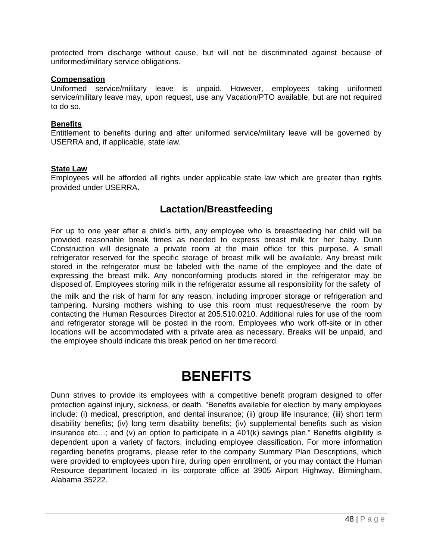protected from discharge without cause, but will not be discriminated against because of uniformed/military service obligations.

#### **Compensation**

Uniformed service/military leave is unpaid. However, employees taking uniformed service/military leave may, upon request, use any Vacation/PTO available, but are not required to do so.

#### **Benefits**

Entitlement to benefits during and after uniformed service/military leave will be governed by USERRA and, if applicable, state law.

#### **State Law**

Employees will be afforded all rights under applicable state law which are greater than rights provided under USERRA.

### **Lactation/Breastfeeding**

<span id="page-47-0"></span>For up to one year after a child's birth, any employee who is breastfeeding her child will be provided reasonable break times as needed to express breast milk for her baby. Dunn Construction will designate a private room at the main office for this purpose. A small refrigerator reserved for the specific storage of breast milk will be available. Any breast milk stored in the refrigerator must be labeled with the name of the employee and the date of expressing the breast milk. Any nonconforming products stored in the refrigerator may be disposed of. Employees storing milk in the refrigerator assume all responsibility for the safety of

the milk and the risk of harm for any reason, including improper storage or refrigeration and tampering. Nursing mothers wishing to use this room must request/reserve the room by contacting the Human Resources Director at 205.510.0210. Additional rules for use of the room and refrigerator storage will be posted in the room. Employees who work off-site or in other locations will be accommodated with a private area as necessary. Breaks will be unpaid, and the employee should indicate this break period on her time record.

# **BENEFITS**

<span id="page-47-1"></span>Dunn strives to provide its employees with a competitive benefit program designed to offer protection against injury, sickness, or death. "Benefits available for election by many employees include: (i) medical, prescription, and dental insurance; (ii) group life insurance; (iii) short term disability benefits; (iv) long term disability benefits; (iv) supplemental benefits such as vision insurance etc…; and (v) an option to participate in a 401(k) savings plan." Benefits eligibility is dependent upon a variety of factors, including employee classification. For more information regarding benefits programs, please refer to the company Summary Plan Descriptions, which were provided to employees upon hire, during open enrollment, or you may contact the Human Resource department located in its corporate office at 3905 Airport Highway, Birmingham, Alabama 35222.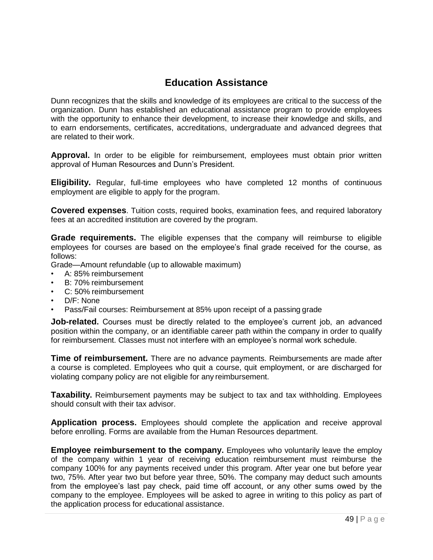## **Education Assistance**

Dunn recognizes that the skills and knowledge of its employees are critical to the success of the organization. Dunn has established an educational assistance program to provide employees with the opportunity to enhance their development, to increase their knowledge and skills, and to earn endorsements, certificates, accreditations, undergraduate and advanced degrees that are related to their work.

**Approval.** In order to be eligible for reimbursement, employees must obtain prior written approval of Human Resources and Dunn's President.

**Eligibility.** Regular, full-time employees who have completed 12 months of continuous employment are eligible to apply for the program.

**Covered expenses**. Tuition costs, required books, examination fees, and required laboratory fees at an accredited institution are covered by the program.

**Grade requirements.** The eligible expenses that the company will reimburse to eligible employees for courses are based on the employee's final grade received for the course, as follows:

Grade—Amount refundable (up to allowable maximum)

- A: 85% reimbursement
- B: 70% reimbursement
- C: 50% reimbursement
- D/F: None
- Pass/Fail courses: Reimbursement at 85% upon receipt of a passing grade

**Job-related.** Courses must be directly related to the employee's current job, an advanced position within the company, or an identifiable career path within the company in order to qualify for reimbursement. Classes must not interfere with an employee's normal work schedule.

**Time of reimbursement.** There are no advance payments. Reimbursements are made after a course is completed. Employees who quit a course, quit employment, or are discharged for violating company policy are not eligible for any reimbursement.

**Taxability.** Reimbursement payments may be subject to tax and tax withholding. Employees should consult with their tax advisor.

**Application process.** Employees should complete the application and receive approval before enrolling. Forms are available from the Human Resources department.

**Employee reimbursement to the company.** Employees who voluntarily leave the employ of the company within 1 year of receiving education reimbursement must reimburse the company 100% for any payments received under this program. After year one but before year two, 75%. After year two but before year three, 50%. The company may deduct such amounts from the employee's last pay check, paid time off account, or any other sums owed by the company to the employee. Employees will be asked to agree in writing to this policy as part of the application process for educational assistance.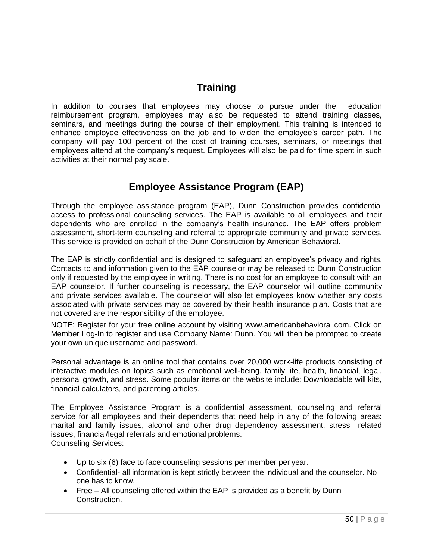## **Training**

In addition to courses that employees may choose to pursue under the education reimbursement program, employees may also be requested to attend training classes, seminars, and meetings during the course of their employment. This training is intended to enhance employee effectiveness on the job and to widen the employee's career path. The company will pay 100 percent of the cost of training courses, seminars, or meetings that employees attend at the company's request. Employees will also be paid for time spent in such activities at their normal pay scale.

## **Employee Assistance Program (EAP)**

<span id="page-49-0"></span>Through the employee assistance program (EAP), Dunn Construction provides confidential access to professional counseling services. The EAP is available to all employees and their dependents who are enrolled in the company's health insurance. The EAP offers problem assessment, short-term counseling and referral to appropriate community and private services. This service is provided on behalf of the Dunn Construction by American Behavioral.

The EAP is strictly confidential and is designed to safeguard an employee's privacy and rights. Contacts to and information given to the EAP counselor may be released to Dunn Construction only if requested by the employee in writing. There is no cost for an employee to consult with an EAP counselor. If further counseling is necessary, the EAP counselor will outline community and private services available. The counselor will also let employees know whether any costs associated with private services may be covered by their health insurance plan. Costs that are not covered are the responsibility of the employee.

NOTE: Register for your free online account by visiting [www.americanbehavioral.com.](http://www.americanbehavioral.com/) Click on Member Log-In to register and use Company Name: Dunn. You will then be prompted to create your own unique username and password.

Personal advantage is an online tool that contains over 20,000 work-life products consisting of interactive modules on topics such as emotional well-being, family life, health, financial, legal, personal growth, and stress. Some popular items on the website include: Downloadable will kits, financial calculators, and parenting articles.

The Employee Assistance Program is a confidential assessment, counseling and referral service for all employees and their dependents that need help in any of the following areas: marital and family issues, alcohol and other drug dependency assessment, stress related issues, financial/legal referrals and emotional problems. Counseling Services:

- Up to six (6) face to face counseling sessions per member per year.
- Confidential- all information is kept strictly between the individual and the counselor. No one has to know.
- Free All counseling offered within the EAP is provided as a benefit by Dunn Construction.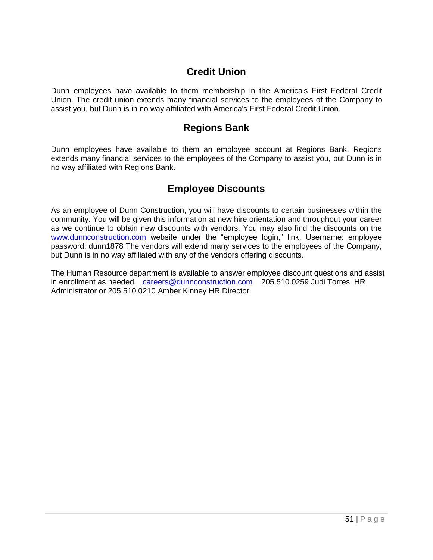### **Credit Union**

Dunn employees have available to them membership in the America's First Federal Credit Union. The credit union extends many financial services to the employees of the Company to assist you, but Dunn is in no way affiliated with America's First Federal Credit Union.

### **Regions Bank**

Dunn employees have available to them an employee account at Regions Bank. Regions extends many financial services to the employees of the Company to assist you, but Dunn is in no way affiliated with Regions Bank.

## **Employee Discounts**

As an employee of Dunn Construction, you will have discounts to certain businesses within the community. You will be given this information at new hire orientation and throughout your career as we continue to obtain new discounts with vendors. You may also find the discounts on the [www.dunnconstruction.com](http://www.dunnconstruction.com/) website under the "employee login," link. Username: employee password: dunn1878 The vendors will extend many services to the employees of the Company, but Dunn is in no way affiliated with any of the vendors offering discounts.

The Human Resource department is available to answer employee discount questions and assist in enrollment as needed. [careers@dunnconstruction.com](mailto:careers@dunnconstruction.com) 205.510.0259 Judi Torres HR Administrator or 205.510.0210 Amber Kinney HR Director